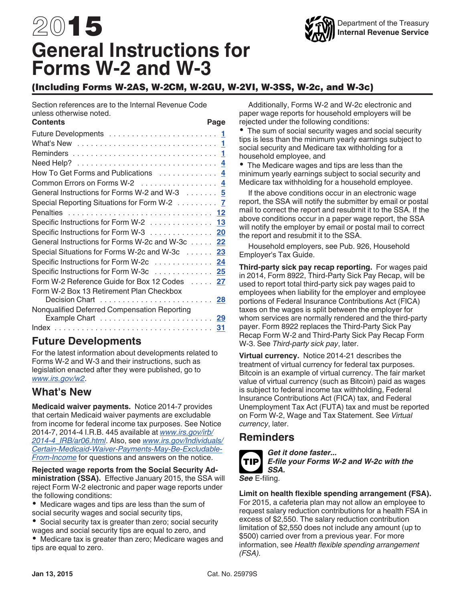# <span id="page-0-0"></span>2015 **General Instructions for Forms W-2 and W-3**

## (Including Forms W-2AS, W-2CM, W-2GU, W-2VI, W-3SS, W-2c, and W-3c)

Section references are to the Internal Revenue Code unless otherwise noted.<br>Contents

| <b>Contents</b>                                 | Page |
|-------------------------------------------------|------|
|                                                 |      |
|                                                 |      |
|                                                 |      |
|                                                 |      |
| How To Get Forms and Publications  4            |      |
| Common Errors on Forms W-2  4                   |      |
| General Instructions for Forms W-2 and W-3 5    |      |
| Special Reporting Situations for Form W-2 7     |      |
|                                                 |      |
| Specific Instructions for Form W-2 13           |      |
| Specific Instructions for Form W-3 20           |      |
| General Instructions for Forms W-2c and W-3c 22 |      |
| Special Situations for Forms W-2c and W-3c 23   |      |
| Specific Instructions for Form W-2c 24          |      |
| Specific Instructions for Form W-3c 25          |      |
| Form W-2 Reference Guide for Box 12 Codes  27   |      |
| Form W-2 Box 13 Retirement Plan Checkbox        |      |
|                                                 |      |
| Nonqualified Deferred Compensation Reporting    |      |
|                                                 |      |
|                                                 |      |

## **Future Developments**

For the latest information about developments related to Forms W-2 and W-3 and their instructions, such as legislation enacted after they were published, go to *[www.irs.gov/w2](http://www.irs.gov/w2)*.

## **What's New**

**Medicaid waiver payments.** Notice 2014-7 provides that certain Medicaid waiver payments are excludable from income for federal income tax purposes. See Notice 2014-7, 2014-4 I.R.B. 445 available at *[www.irs.gov/irb/](http://www.irs.gov/irb/2014-4_IRB/ar06.html) [2014-4\\_IRB/ar06.html](http://www.irs.gov/irb/2014-4_IRB/ar06.html)*. Also, see *[www.irs.gov/Individuals/](http://www.irs.gov/Individuals/Certain-Medicaid-Waiver-Payments-May-Be-Excludable-From-Income) [Certain-Medicaid-Waiver-Payments-May-Be-Excludable-](http://www.irs.gov/Individuals/Certain-Medicaid-Waiver-Payments-May-Be-Excludable-From-Income)[From-Income](http://www.irs.gov/Individuals/Certain-Medicaid-Waiver-Payments-May-Be-Excludable-From-Income)* for questions and answers on the notice.

**Rejected wage reports from the Social Security Administration (SSA).** Effective January 2015, the SSA will reject Form W-2 electronic and paper wage reports under the following conditions:

Medicare wages and tips are less than the sum of social security wages and social security tips,

Social security tax is greater than zero; social security wages and social security tips are equal to zero, and Medicare tax is greater than zero; Medicare wages and tips are equal to zero.

Additionally, Forms W-2 and W-2c electronic and paper wage reports for household employers will be rejected under the following conditions:

The sum of social security wages and social security tips is less than the minimum yearly earnings subject to social security and Medicare tax withholding for a household employee, and

The Medicare wages and tips are less than the minimum yearly earnings subject to social security and Medicare tax withholding for a household employee.

If the above conditions occur in an electronic wage report, the SSA will notify the submitter by email or postal mail to correct the report and resubmit it to the SSA. If the above conditions occur in a paper wage report, the SSA will notify the employer by email or postal mail to correct the report and resubmit it to the SSA.

Household employers, see Pub. 926, Household Employer's Tax Guide.

**Third-party sick pay recap reporting.** For wages paid in 2014, Form 8922, Third-Party Sick Pay Recap, will be used to report total third-party sick pay wages paid to employees when liability for the employer and employee portions of Federal Insurance Contributions Act (FICA) taxes on the wages is split between the employer for whom services are normally rendered and the third-party payer. Form 8922 replaces the Third-Party Sick Pay Recap Form W-2 and Third-Party Sick Pay Recap Form W-3. See *Third-party sick pay*, later.

**Virtual currency.** Notice 2014-21 describes the treatment of virtual currency for federal tax purposes. Bitcoin is an example of virtual currency. The fair market value of virtual currency (such as Bitcoin) paid as wages is subject to federal income tax withholding, Federal Insurance Contributions Act (FICA) tax, and Federal Unemployment Tax Act (FUTA) tax and must be reported on Form W-2, Wage and Tax Statement. See *Virtual currency*, later.

## **Reminders**



### *Get it done faster...*

*E-file your Forms W-2 and W-2c with the SSA.*

*See* E-filing.

**Limit on health flexible spending arrangement (FSA).**  For 2015, a cafeteria plan may not allow an employee to request salary reduction contributions for a health FSA in excess of \$2,550. The salary reduction contribution limitation of \$2,550 does not include any amount (up to \$500) carried over from a previous year. For more information, see *Health flexible spending arrangement (FSA).*

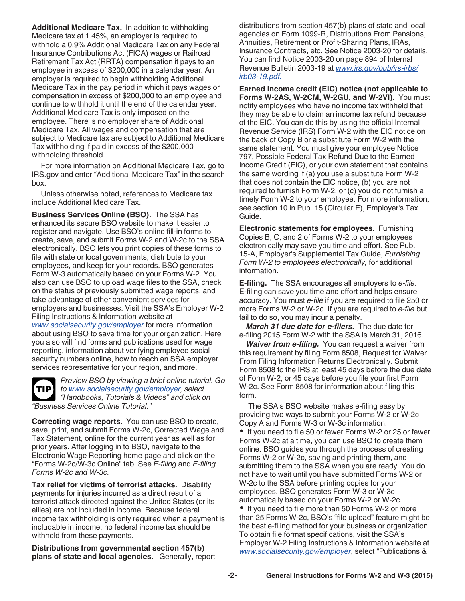<span id="page-1-0"></span>**Additional Medicare Tax.** In addition to withholding Medicare tax at 1.45%, an employer is required to withhold a 0.9% Additional Medicare Tax on any Federal Insurance Contributions Act (FICA) wages or Railroad Retirement Tax Act (RRTA) compensation it pays to an employee in excess of \$200,000 in a calendar year. An employer is required to begin withholding Additional Medicare Tax in the pay period in which it pays wages or compensation in excess of \$200,000 to an employee and continue to withhold it until the end of the calendar year. Additional Medicare Tax is only imposed on the employee. There is no employer share of Additional Medicare Tax. All wages and compensation that are subject to Medicare tax are subject to Additional Medicare Tax withholding if paid in excess of the \$200,000 withholding threshold.

For more information on Additional Medicare Tax, go to IRS.gov and enter "Additional Medicare Tax" in the search box.

Unless otherwise noted, references to Medicare tax include Additional Medicare Tax.

**Business Services Online (BSO).** The SSA has enhanced its secure BSO website to make it easier to register and navigate. Use BSO's online fill-in forms to create, save, and submit Forms W-2 and W-2c to the SSA electronically. BSO lets you print copies of these forms to file with state or local governments, distribute to your employees, and keep for your records. BSO generates Form W-3 automatically based on your Forms W-2. You also can use BSO to upload wage files to the SSA, check on the status of previously submitted wage reports, and take advantage of other convenient services for employers and businesses. Visit the SSA's Employer W-2 Filing Instructions & Information website at *[www.socialsecurity.gov/employer](http://www.socialsecurity.gov/employer)* for more information about using BSO to save time for your organization. Here you also will find forms and publications used for wage reporting, information about verifying employee social security numbers online, how to reach an SSA employer services representative for your region, and more.

**TIP**

*Preview BSO by viewing a brief online tutorial. Go to [www.socialsecurity.gov/employer,](http://www.socialsecurity.gov/employer) select "Handbooks, Tutorials & Videos" and click on "Business Services Online Tutorial."*

**Correcting wage reports.** You can use BSO to create, save, print, and submit Forms W-2c, Corrected Wage and Tax Statement, online for the current year as well as for prior years. After logging in to BSO, navigate to the Electronic Wage Reporting home page and click on the "Forms W-2c/W-3c Online" tab. See *E-filing* and *E-filing Forms W-2c and W-3c.*

**Tax relief for victims of terrorist attacks.** Disability payments for injuries incurred as a direct result of a terrorist attack directed against the United States (or its allies) are not included in income. Because federal income tax withholding is only required when a payment is includable in income, no federal income tax should be withheld from these payments.

**Distributions from governmental section 457(b) plans of state and local agencies.** Generally, report distributions from section 457(b) plans of state and local agencies on Form 1099-R, Distributions From Pensions, Annuities, Retirement or Profit-Sharing Plans, IRAs, Insurance Contracts, etc. See Notice 2003-20 for details. You can find Notice 2003-20 on page 894 of Internal Revenue Bulletin 2003-19 at *[www.irs.gov/pub/irs-irbs/](http://www.irs.gov/pub/irs-irbs/irb03-19.pdf) [irb03-19.pdf.](http://www.irs.gov/pub/irs-irbs/irb03-19.pdf)*

**Earned income credit (EIC) notice (not applicable to Forms W-2AS, W-2CM, W-2GU, and W-2VI).** You must notify employees who have no income tax withheld that they may be able to claim an income tax refund because of the EIC. You can do this by using the official Internal Revenue Service (IRS) Form W-2 with the EIC notice on the back of Copy B or a substitute Form W-2 with the same statement. You must give your employee Notice 797, Possible Federal Tax Refund Due to the Earned Income Credit (EIC), or your own statement that contains the same wording if (a) you use a substitute Form W-2 that does not contain the EIC notice, (b) you are not required to furnish Form W-2, or (c) you do not furnish a timely Form W-2 to your employee. For more information, see section 10 in Pub. 15 (Circular E), Employer's Tax Guide.

**Electronic statements for employees.** Furnishing Copies B, C, and 2 of Forms W-2 to your employees electronically may save you time and effort. See Pub. 15-A, Employer's Supplemental Tax Guide, *Furnishing Form W-2 to employees electronically,* for additional information.

**E-filing.** The SSA encourages all employers to *e-file*. E-filing can save you time and effort and helps ensure accuracy. You must *e-file* if you are required to file 250 or more Forms W-2 or W-2c. If you are required to *e-file* but fail to do so, you may incur a penalty.

*March 31 due date for e-filers.* The due date for e-filing 2015 Form W-2 with the SSA is March 31, 2016.

*Waiver from e-filing.* You can request a waiver from this requirement by filing Form 8508, Request for Waiver From Filing Information Returns Electronically. Submit Form 8508 to the IRS at least 45 days before the due date of Form W-2, or 45 days before you file your first Form W-2c. See Form 8508 for information about filing this form.

The SSA's BSO website makes e-filing easy by providing two ways to submit your Forms W-2 or W-2c Copy A and Forms W-3 or W-3c information. • If you need to file 50 or fewer Forms W-2 or 25 or fewer Forms W-2c at a time, you can use BSO to create them online. BSO guides you through the process of creating Forms W-2 or W-2c, saving and printing them, and submitting them to the SSA when you are ready. You do not have to wait until you have submitted Forms W-2 or W-2c to the SSA before printing copies for your employees. BSO generates Form W-3 or W-3c automatically based on your Forms W-2 or W-2c.

• If you need to file more than 50 Forms W-2 or more than 25 Forms W-2c, BSO's "file upload" feature might be the best e-filing method for your business or organization. To obtain file format specifications, visit the SSA's Employer W-2 Filing Instructions & Information website at *[www.socialsecurity.gov/employer](http://www.socialsecurity.gov/employer)*, select "Publications &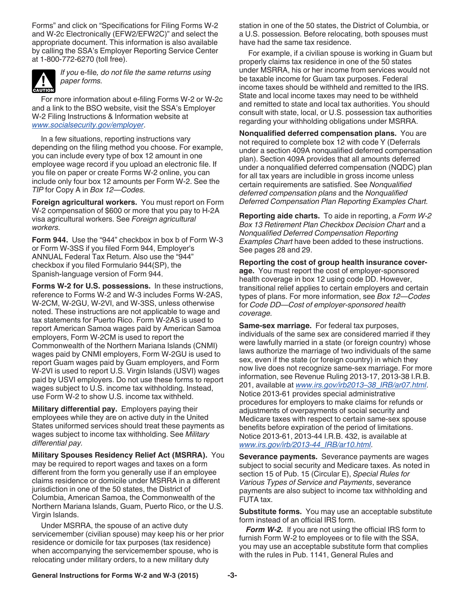<span id="page-2-0"></span>Forms" and click on "Specifications for Filing Forms W-2 and W-2c Electronically (EFW2/EFW2C)" and select the appropriate document. This information is also available by calling the SSA's Employer Reporting Service Center at 1-800-772-6270 (toll free).



*If you* e-file*, do not file the same returns using paper forms.*

For more information about e-filing Forms W-2 or W-2c and a link to the BSO website, visit the SSA's Employer W-2 Filing Instructions & Information website at *[www.socialsecurity.gov/employer](http://www.socialsecurity.gov/employer)*.

In a few situations, reporting instructions vary depending on the filing method you choose. For example, you can include every type of box 12 amount in one employee wage record if you upload an electronic file. If you file on paper or create Forms W-2 online, you can include only four box 12 amounts per Form W-2. See the *TIP* for Copy A in *Box 12—Codes.*

**Foreign agricultural workers.** You must report on Form W-2 compensation of \$600 or more that you pay to H-2A visa agricultural workers. See *Foreign agricultural workers.*

**Form 944.** Use the "944" checkbox in box b of Form W-3 or Form W-3SS if you filed Form 944, Employer's ANNUAL Federal Tax Return. Also use the "944" checkbox if you filed Formulario 944(SP), the Spanish-language version of Form 944.

**Forms W-2 for U.S. possessions.** In these instructions, reference to Forms W-2 and W-3 includes Forms W-2AS, W-2CM, W-2GU, W-2VI, and W-3SS, unless otherwise noted. These instructions are not applicable to wage and tax statements for Puerto Rico. Form W-2AS is used to report American Samoa wages paid by American Samoa employers, Form W-2CM is used to report the Commonwealth of the Northern Mariana Islands (CNMI) wages paid by CNMI employers, Form W-2GU is used to report Guam wages paid by Guam employers, and Form W-2VI is used to report U.S. Virgin Islands (USVI) wages paid by USVI employers. Do not use these forms to report wages subject to U.S. income tax withholding. Instead, use Form W-2 to show U.S. income tax withheld.

**Military differential pay.** Employers paying their employees while they are on active duty in the United States uniformed services should treat these payments as wages subject to income tax withholding. See *Military differential pay.*

**Military Spouses Residency Relief Act (MSRRA).** You may be required to report wages and taxes on a form different from the form you generally use if an employee claims residence or domicile under MSRRA in a different jurisdiction in one of the 50 states, the District of Columbia, American Samoa, the Commonwealth of the Northern Mariana Islands, Guam, Puerto Rico, or the U.S. Virgin Islands.

Under MSRRA, the spouse of an active duty servicemember (civilian spouse) may keep his or her prior residence or domicile for tax purposes (tax residence) when accompanying the servicemember spouse, who is relocating under military orders, to a new military duty

station in one of the 50 states, the District of Columbia, or a U.S. possession. Before relocating, both spouses must have had the same tax residence.

For example, if a civilian spouse is working in Guam but properly claims tax residence in one of the 50 states under MSRRA, his or her income from services would not be taxable income for Guam tax purposes. Federal income taxes should be withheld and remitted to the IRS. State and local income taxes may need to be withheld and remitted to state and local tax authorities. You should consult with state, local, or U.S. possession tax authorities regarding your withholding obligations under MSRRA.

**Nonqualified deferred compensation plans.** You are not required to complete box 12 with code Y (Deferrals under a section 409A nonqualified deferred compensation plan). Section 409A provides that all amounts deferred under a nonqualified deferred compensation (NQDC) plan for all tax years are includible in gross income unless certain requirements are satisfied. See *Nonqualified deferred compensation plans* and the *Nonqualified Deferred Compensation Plan Reporting Examples Chart.*

**Reporting aide charts.** To aide in reporting, a *Form W-2 Box 13 Retirement Plan Checkbox Decision Chart* and a *Nonqualified Deferred Compensation Reporting Examples Chart* have been added to these instructions. See pages 28 and 29.

**Reporting the cost of group health insurance coverage.** You must report the cost of employer-sponsored health coverage in box 12 using code DD. However, transitional relief applies to certain employers and certain types of plans. For more information, see *Box 12—Codes*  for *Code DD—Cost of employer-sponsored health coverage.*

**Same-sex marriage.** For federal tax purposes, individuals of the same sex are considered married if they were lawfully married in a state (or foreign country) whose laws authorize the marriage of two individuals of the same sex, even if the state (or foreign country) in which they now live does not recognize same-sex marriage. For more information, see Revenue Ruling 2013-17, 2013-38 I.R.B. 201, available at *[www.irs.gov/irb2013–38\\_IRB/ar07.html](http://www.irs.gov/irb/2013-38_IRB/ar07.html)*. Notice 2013-61 provides special administrative procedures for employers to make claims for refunds or adjustments of overpayments of social security and Medicare taxes with respect to certain same-sex spouse benefits before expiration of the period of limitations. Notice 2013-61, 2013-44 I.R.B. 432, is available at *[www.irs.gov/irb/2013-44\\_IRB/ar10.html](http://www.irs.gov/irb/2013-44_IRB/ar10.html)*.

**Severance payments.** Severance payments are wages subject to social security and Medicare taxes. As noted in section 15 of Pub. 15 (Circular E), *Special Rules for Various Types of Service and Payments*, severance payments are also subject to income tax withholding and FUTA tax.

**Substitute forms.** You may use an acceptable substitute form instead of an official IRS form.

*Form W-2.* If you are not using the official IRS form to furnish Form W-2 to employees or to file with the SSA, you may use an acceptable substitute form that complies with the rules in Pub. 1141, General Rules and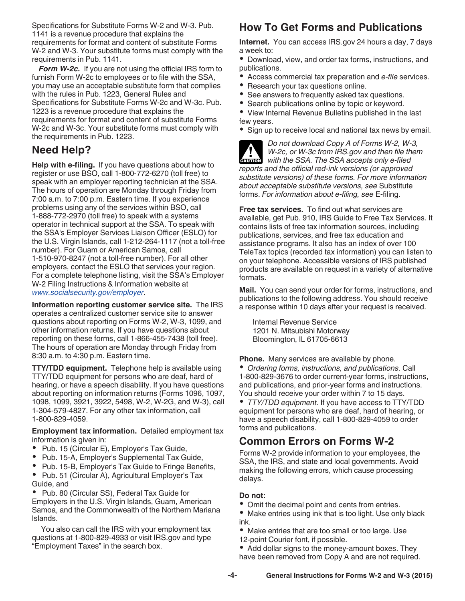<span id="page-3-0"></span>Specifications for Substitute Forms W-2 and W-3. Pub. 1141 is a revenue procedure that explains the requirements for format and content of substitute Forms W-2 and W-3. Your substitute forms must comply with the requirements in Pub. 1141.

*Form W-2c.* If you are not using the official IRS form to furnish Form W-2c to employees or to file with the SSA, you may use an acceptable substitute form that complies with the rules in Pub. 1223, General Rules and Specifications for Substitute Forms W-2c and W-3c. Pub. 1223 is a revenue procedure that explains the requirements for format and content of substitute Forms W-2c and W-3c. Your substitute forms must comply with the requirements in Pub. 1223.

## **Need Help?**

**Help with e-filing.** If you have questions about how to register or use BSO, call 1-800-772-6270 (toll free) to speak with an employer reporting technician at the SSA. The hours of operation are Monday through Friday from 7:00 a.m. to 7:00 p.m. Eastern time. If you experience problems using any of the services within BSO, call 1-888-772-2970 (toll free) to speak with a systems operator in technical support at the SSA. To speak with the SSA's Employer Services Liaison Officer (ESLO) for the U.S. Virgin Islands, call 1-212-264-1117 (not a toll-free number). For Guam or American Samoa, call 1-510-970-8247 (not a toll-free number). For all other employers, contact the ESLO that services your region. For a complete telephone listing, visit the SSA's Employer W-2 Filing Instructions & Information website at *[www.socialsecurity.gov/employer](http://www.socialsecurity.gov/employer)*.

**Information reporting customer service site.** The IRS operates a centralized customer service site to answer questions about reporting on Forms W-2, W-3, 1099, and other information returns. If you have questions about reporting on these forms, call 1-866-455-7438 (toll free). The hours of operation are Monday through Friday from 8:30 a.m. to 4:30 p.m. Eastern time.

**TTY/TDD equipment.** Telephone help is available using TTY/TDD equipment for persons who are deaf, hard of hearing, or have a speech disability. If you have questions about reporting on information returns (Forms 1096, 1097, 1098, 1099, 3921, 3922, 5498, W-2, W-2G, and W-3), call 1-304-579-4827. For any other tax information, call 1-800-829-4059.

**Employment tax information.** Detailed employment tax information is given in:

- Pub. 15 (Circular E), Employer's Tax Guide,
- $\bullet$ Pub. 15-A, Employer's Supplemental Tax Guide,
- Pub. 15-B, Employer's Tax Guide to Fringe Benefits,
- Pub. 51 (Circular A), Agricultural Employer's Tax Guide, and

 Pub. 80 (Circular SS), Federal Tax Guide for Employers in the U.S. Virgin Islands, Guam, American Samoa, and the Commonwealth of the Northern Mariana Islands.

You also can call the IRS with your employment tax questions at 1-800-829-4933 or visit IRS.gov and type "Employment Taxes" in the search box.

## **How To Get Forms and Publications**

**Internet.** You can access IRS.gov 24 hours a day, 7 days a week to:

Download, view, and order tax forms, instructions, and publications.

- Access commercial tax preparation and *e-file* services.
- $\bullet$ Research your tax questions online.
- $\bullet$ See answers to frequently asked tax questions.
- $\bullet$ Search publications online by topic or keyword.

View Internal Revenue Bulletins published in the last few years.

• Sign up to receive local and national tax news by email.

*Do not download Copy A of Forms W-2, W-3, W-2c, or W-3c from IRS.gov and then file them W-2c, or W-3c from IRS gov and then file th*<br>
with the SSA. The SSA accepts only e-filed *reports and the official red-ink versions (or approved substitute versions) of these forms. For more information about acceptable substitute versions, see* Substitute forms. *For information about e-filing, see* E-filing.

**Free tax services.** To find out what services are available, get Pub. 910, IRS Guide to Free Tax Services. It contains lists of free tax information sources, including publications, services, and free tax education and assistance programs. It also has an index of over 100 TeleTax topics (recorded tax information) you can listen to on your telephone. Accessible versions of IRS published products are available on request in a variety of alternative formats.

**Mail.** You can send your order for forms, instructions, and publications to the following address. You should receive a response within 10 days after your request is received.

Internal Revenue Service 1201 N. Mitsubishi Motorway Bloomington, IL 61705-6613

**Phone.** Many services are available by phone.

*Ordering forms, instructions, and publications.* Call 1-800-829-3676 to order current-year forms, instructions, and publications, and prior-year forms and instructions. You should receive your order within 7 to 15 days.

*TTY/TDD equipment.* If you have access to TTY/TDD equipment for persons who are deaf, hard of hearing, or have a speech disability, call 1-800-829-4059 to order forms and publications.

## **Common Errors on Forms W-2**

Forms W-2 provide information to your employees, the SSA, the IRS, and state and local governments. Avoid making the following errors, which cause processing delays.

#### **Do not:**

- Omit the decimal point and cents from entries.
- Make entries using ink that is too light. Use only black ink.
- Make entries that are too small or too large. Use 12-point Courier font, if possible.
- Add dollar signs to the money-amount boxes. They have been removed from Copy A and are not required.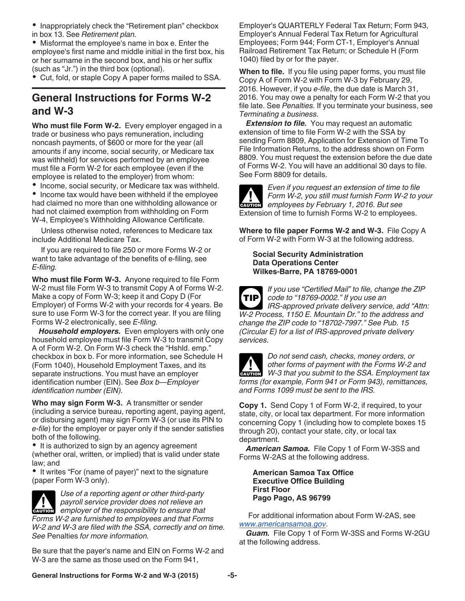<span id="page-4-0"></span>• Inappropriately check the "Retirement plan" checkbox in box 13. See *Retirement plan.*

Misformat the employee's name in box e. Enter the employee's first name and middle initial in the first box, his or her surname in the second box, and his or her suffix (such as "Jr.") in the third box (optional).

• Cut, fold, or staple Copy A paper forms mailed to SSA.

## **General Instructions for Forms W-2 and W-3**

**Who must file Form W-2.** Every employer engaged in a trade or business who pays remuneration, including noncash payments, of \$600 or more for the year (all amounts if any income, social security, or Medicare tax was withheld) for services performed by an employee must file a Form W-2 for each employee (even if the employee is related to the employer) from whom:

• Income, social security, or Medicare tax was withheld.

• Income tax would have been withheld if the employee had claimed no more than one withholding allowance or had not claimed exemption from withholding on Form W-4, Employee's Withholding Allowance Certificate.

Unless otherwise noted, references to Medicare tax include Additional Medicare Tax.

If you are required to file 250 or more Forms W-2 or want to take advantage of the benefits of e-filing, see *E-filing.*

**Who must file Form W-3.** Anyone required to file Form W-2 must file Form W-3 to transmit Copy A of Forms W-2. Make a copy of Form W-3; keep it and Copy D (For Employer) of Forms W-2 with your records for 4 years. Be sure to use Form W-3 for the correct year. If you are filing Forms W-2 electronically, see *E-filing.*

*Household employers.* Even employers with only one household employee must file Form W-3 to transmit Copy A of Form W-2. On Form W-3 check the "Hshld. emp." checkbox in box b. For more information, see Schedule H (Form 1040), Household Employment Taxes, and its separate instructions. You must have an employer identification number (EIN). See *Box b—Employer identification number (EIN).*

**Who may sign Form W-3.** A transmitter or sender (including a service bureau, reporting agent, paying agent, or disbursing agent) may sign Form W-3 (or use its PIN to *e-file*) for the employer or payer only if the sender satisfies both of the following.

• It is authorized to sign by an agency agreement (whether oral, written, or implied) that is valid under state law; and

• It writes "For (name of payer)" next to the signature (paper Form W-3 only).

*Use of a reporting agent or other third-party payroll service provider does not relieve an*  **EXECUTE:** Provider does not relieve an engagement of the responsibility to ensure that *Forms W-2 are furnished to employees and that Forms W-2 and W-3 are filed with the SSA, correctly and on time. See* Penalties *for more information.*

Be sure that the payer's name and EIN on Forms W-2 and W-3 are the same as those used on the Form 941,

Employer's QUARTERLY Federal Tax Return; Form 943, Employer's Annual Federal Tax Return for Agricultural Employees; Form 944; Form CT-1, Employer's Annual Railroad Retirement Tax Return; or Schedule H (Form 1040) filed by or for the payer.

**When to file.** If you file using paper forms, you must file Copy A of Form W-2 with Form W-3 by February 29, 2016. However, if you *e-file*, the due date is March 31, 2016. You may owe a penalty for each Form W-2 that you file late. See *Penalties.* If you terminate your business, see *Terminating a business.*

**Extension to file.** You may request an automatic extension of time to file Form W-2 with the SSA by sending Form 8809, Application for Extension of Time To File Information Returns, to the address shown on Form 8809. You must request the extension before the due date of Forms W-2. You will have an additional 30 days to file. See Form 8809 for details.

**CAUTION !**

*Even if you request an extension of time to file Form W-2, you still must furnish Form W-2 to your employees by February 1, 2016. But see*  Extension of time to furnish Forms W-2 to employees.

**Where to file paper Forms W-2 and W-3.** File Copy A of Form W-2 with Form W-3 at the following address.

**Social Security Administration Data Operations Center Wilkes-Barre, PA 18769-0001**



*If you use "Certified Mail" to file, change the ZIP code to "18769-0002." If you use an IRS-approved private delivery service, add "Attn: W-2 Process, 1150 E. Mountain Dr." to the address and change the ZIP code to "18702-7997." See Pub. 15 (Circular E) for a list of IRS-approved private delivery services.*



**Copy 1.** Send Copy 1 of Form W-2, if required, to your state, city, or local tax department. For more information concerning Copy 1 (including how to complete boxes 15 through 20), contact your state, city, or local tax department.

*American Samoa.* File Copy 1 of Form W-3SS and Forms W-2AS at the following address.

**American Samoa Tax Office Executive Office Building First Floor Pago Pago, AS 96799**

For additional information about Form W-2AS, see *[www.americansamoa.gov](http://www.americansamoa.gov)*.

*Guam.* File Copy 1 of Form W-3SS and Forms W-2GU at the following address.

**General Instructions for Forms W-2 and W-3 (2015) -5-**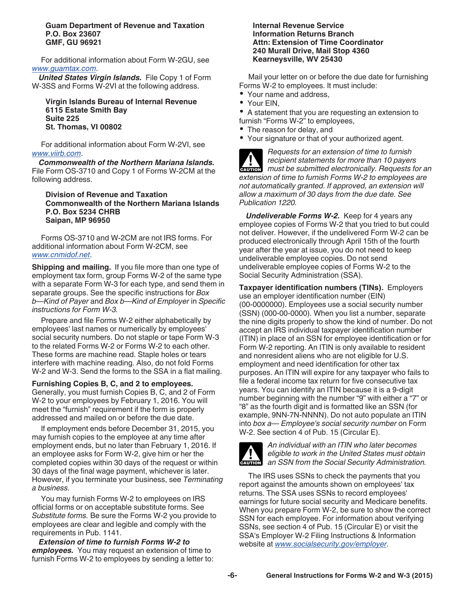#### <span id="page-5-0"></span>**Guam Department of Revenue and Taxation P.O. Box 23607 GMF, GU 96921**

For additional information about Form W-2GU, see *[www.guamtax.com](http://www.guamtax.com)*.

*United States Virgin Islands.* File Copy 1 of Form W-3SS and Forms W-2VI at the following address.

**Virgin Islands Bureau of Internal Revenue 6115 Estate Smith Bay Suite 225 St. Thomas, VI 00802**

For additional information about Form W-2VI, see *[www.viirb.com](http://www.viirb.com)*.

*Commonwealth of the Northern Mariana Islands.*  File Form OS-3710 and Copy 1 of Forms W-2CM at the following address.

**Division of Revenue and Taxation Commonwealth of the Northern Mariana Islands P.O. Box 5234 CHRB Saipan, MP 96950**

Forms OS-3710 and W-2CM are not IRS forms. For additional information about Form W-2CM, see *[www.cnmidof.net](http://www.cnmidof.net)*.

**Shipping and mailing.** If you file more than one type of employment tax form, group Forms W-2 of the same type with a separate Form W-3 for each type, and send them in separate groups. See the specific instructions for *Box b—Kind of Payer* and *Box b—Kind of Employer* in *Specific instructions for Form W-3.*

Prepare and file Forms W-2 either alphabetically by employees' last names or numerically by employees' social security numbers. Do not staple or tape Form W-3 to the related Forms W-2 or Forms W-2 to each other. These forms are machine read. Staple holes or tears interfere with machine reading. Also, do not fold Forms W-2 and W-3. Send the forms to the SSA in a flat mailing.

#### **Furnishing Copies B, C, and 2 to employees.**

Generally, you must furnish Copies B, C, and 2 of Form W-2 to your employees by February 1, 2016. You will meet the "furnish" requirement if the form is properly addressed and mailed on or before the due date.

If employment ends before December 31, 2015, you may furnish copies to the employee at any time after employment ends, but no later than February 1, 2016. If an employee asks for Form W-2, give him or her the completed copies within 30 days of the request or within 30 days of the final wage payment, whichever is later. However, if you terminate your business, see *Terminating a business.*

You may furnish Forms W-2 to employees on IRS official forms or on acceptable substitute forms. See *Substitute forms.* Be sure the Forms W-2 you provide to employees are clear and legible and comply with the requirements in Pub. 1141.

*Extension of time to furnish Forms W-2 to employees.* You may request an extension of time to furnish Forms W-2 to employees by sending a letter to:

#### **Internal Revenue Service Information Returns Branch Attn: Extension of Time Coordinator 240 Murall Drive, Mail Stop 4360 Kearneysville, WV 25430**

Mail your letter on or before the due date for furnishing Forms W-2 to employees. It must include:

- Your name and address,
- Your EIN,

A statement that you are requesting an extension to furnish "Forms W-2" to employees,

- The reason for delay, and
- Your signature or that of your authorized agent.

*Requests for an extension of time to furnish recipient statements for more than 10 payers*  **Precipient statements for more than 10 payers<br>
must be submitted electronically. Requests for an** *extension of time to furnish Forms W-2 to employees are not automatically granted. If approved, an extension will allow a maximum of 30 days from the due date. See Publication 1220.*

*Undeliverable Forms W-2.* Keep for 4 years any employee copies of Forms W-2 that you tried to but could not deliver. However, if the undelivered Form W-2 can be produced electronically through April 15th of the fourth year after the year at issue, you do not need to keep undeliverable employee copies. Do not send undeliverable employee copies of Forms W-2 to the Social Security Administration (SSA).

**Taxpayer identification numbers (TINs).** Employers use an employer identification number (EIN) (00-0000000). Employees use a social security number (SSN) (000-00-0000). When you list a number, separate the nine digits properly to show the kind of number. Do not accept an IRS individual taxpayer identification number (ITIN) in place of an SSN for employee identification or for Form W-2 reporting. An ITIN is only available to resident and nonresident aliens who are not eligible for U.S. employment and need identification for other tax purposes. An ITIN will expire for any taxpayer who fails to file a federal income tax return for five consecutive tax years. You can identify an ITIN because it is a 9-digit number beginning with the number "9" with either a "7" or "8" as the fourth digit and is formatted like an SSN (for example, 9NN-7N-NNNN). Do not auto populate an ITIN into *box a— Employee's social security number* on Form W-2. See section 4 of Pub. 15 (Circular E).



*An individual with an ITIN who later becomes eligible to work in the United States must obtain*  **z** eligible to work in the United States must obtain<br>
an SSN from the Social Security Administration.

The IRS uses SSNs to check the payments that you report against the amounts shown on employees' tax returns. The SSA uses SSNs to record employees' earnings for future social security and Medicare benefits. When you prepare Form W-2, be sure to show the correct SSN for each employee. For information about verifying SSNs, see section 4 of Pub. 15 (Circular E) or visit the SSA's Employer W-2 Filing Instructions & Information website at *[www.socialsecurity.gov/employer](http://www.socialsecurity.gov/employer)*.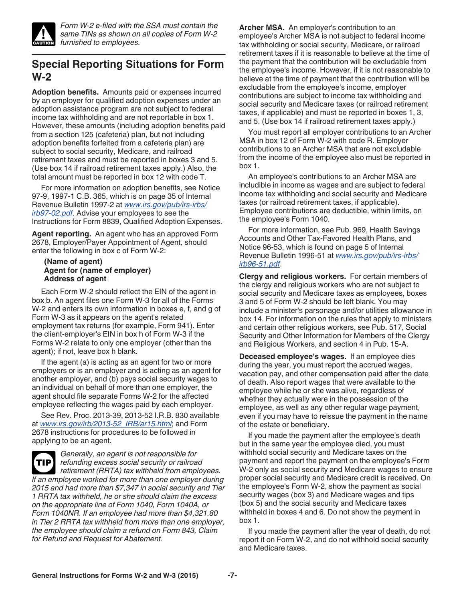<span id="page-6-0"></span>

*Form W-2 e-filed with the SSA must contain the same TINs as shown on all copies of Form W-2 furnished to employees.*

## **Special Reporting Situations for Form W-2**

**Adoption benefits.** Amounts paid or expenses incurred by an employer for qualified adoption expenses under an adoption assistance program are not subject to federal income tax withholding and are not reportable in box 1. However, these amounts (including adoption benefits paid from a section 125 (cafeteria) plan, but not including adoption benefits forfeited from a cafeteria plan) are subject to social security, Medicare, and railroad retirement taxes and must be reported in boxes 3 and 5. (Use box 14 if railroad retirement taxes apply.) Also, the total amount must be reported in box 12 with code T.

For more information on adoption benefits, see Notice 97-9, 1997-1 C.B. 365, which is on page 35 of Internal Revenue Bulletin 1997-2 at *[www.irs.gov/pub/irs-irbs/](http://www.irs.gov/pub/irs-irbs/irb97-02.pdf) [irb97-02.pdf](http://www.irs.gov/pub/irs-irbs/irb97-02.pdf)*. Advise your employees to see the Instructions for Form 8839, Qualified Adoption Expenses.

**Agent reporting.** An agent who has an approved Form 2678, Employer/Payer Appointment of Agent, should enter the following in box c of Form W-2:

#### **(Name of agent) Agent for (name of employer) Address of agent**

Each Form W-2 should reflect the EIN of the agent in box b. An agent files one Form W-3 for all of the Forms W-2 and enters its own information in boxes e, f, and g of Form W-3 as it appears on the agent's related employment tax returns (for example, Form 941). Enter the client-employer's EIN in box h of Form W-3 if the Forms W-2 relate to only one employer (other than the agent); if not, leave box h blank.

If the agent (a) is acting as an agent for two or more employers or is an employer and is acting as an agent for another employer, and (b) pays social security wages to an individual on behalf of more than one employer, the agent should file separate Forms W-2 for the affected employee reflecting the wages paid by each employer.

See Rev. Proc. 2013-39, 2013-52 I.R.B. 830 available at *[www.irs.gov/irb/2013-52\\_IRB/ar15.html](http://www.irs.gov/irb/2013-52_IRB/ar15.html)*; and Form 2678 instructions for procedures to be followed in applying to be an agent.

**TIP**

*Generally, an agent is not responsible for refunding excess social security or railroad retirement (RRTA) tax withheld from employees. If an employee worked for more than one employer during 2015 and had more than \$7,347 in social security and Tier 1 RRTA tax withheld, he or she should claim the excess on the appropriate line of Form 1040, Form 1040A, or Form 1040NR. If an employee had more than \$4,321.80 in Tier 2 RRTA tax withheld from more than one employer, the employee should claim a refund on Form 843, Claim for Refund and Request for Abatement.*

**Archer MSA.** An employer's contribution to an employee's Archer MSA is not subject to federal income tax withholding or social security, Medicare, or railroad retirement taxes if it is reasonable to believe at the time of the payment that the contribution will be excludable from the employee's income. However, if it is not reasonable to believe at the time of payment that the contribution will be excludable from the employee's income, employer contributions are subject to income tax withholding and social security and Medicare taxes (or railroad retirement taxes, if applicable) and must be reported in boxes 1, 3, and 5. (Use box 14 if railroad retirement taxes apply.)

You must report all employer contributions to an Archer MSA in box 12 of Form W-2 with code R. Employer contributions to an Archer MSA that are not excludable from the income of the employee also must be reported in box 1.

An employee's contributions to an Archer MSA are includible in income as wages and are subject to federal income tax withholding and social security and Medicare taxes (or railroad retirement taxes, if applicable). Employee contributions are deductible, within limits, on the employee's Form 1040.

For more information, see Pub. 969, Health Savings Accounts and Other Tax-Favored Health Plans, and Notice 96-53, which is found on page 5 of Internal Revenue Bulletin 1996-51 at *[www.irs.gov/pub/irs-irbs/](http://www.irs.gov/pub/irs-irbs/irb96-51.pdf) [irb96-51.pdf](http://www.irs.gov/pub/irs-irbs/irb96-51.pdf)*.

**Clergy and religious workers.** For certain members of the clergy and religious workers who are not subject to social security and Medicare taxes as employees, boxes 3 and 5 of Form W-2 should be left blank. You may include a minister's parsonage and/or utilities allowance in box 14. For information on the rules that apply to ministers and certain other religious workers, see Pub. 517, Social Security and Other Information for Members of the Clergy and Religious Workers, and section 4 in Pub. 15-A.

**Deceased employee's wages.** If an employee dies during the year, you must report the accrued wages, vacation pay, and other compensation paid after the date of death. Also report wages that were available to the employee while he or she was alive, regardless of whether they actually were in the possession of the employee, as well as any other regular wage payment, even if you may have to reissue the payment in the name of the estate or beneficiary.

If you made the payment after the employee's death but in the same year the employee died, you must withhold social security and Medicare taxes on the payment and report the payment on the employee's Form W-2 only as social security and Medicare wages to ensure proper social security and Medicare credit is received. On the employee's Form W-2, show the payment as social security wages (box 3) and Medicare wages and tips (box 5) and the social security and Medicare taxes withheld in boxes 4 and 6. Do not show the payment in box 1.

If you made the payment after the year of death, do not report it on Form W-2, and do not withhold social security and Medicare taxes.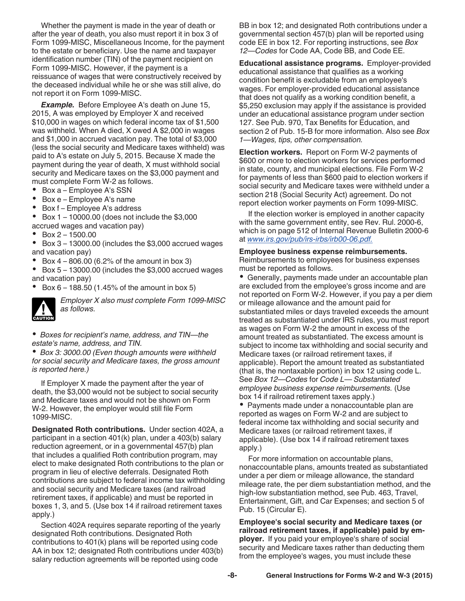<span id="page-7-0"></span>Whether the payment is made in the year of death or after the year of death, you also must report it in box 3 of Form 1099-MISC, Miscellaneous Income, for the payment to the estate or beneficiary. Use the name and taxpayer identification number (TIN) of the payment recipient on Form 1099-MISC. However, if the payment is a reissuance of wages that were constructively received by the deceased individual while he or she was still alive, do not report it on Form 1099-MISC.

*Example.* Before Employee A's death on June 15, 2015, A was employed by Employer X and received \$10,000 in wages on which federal income tax of \$1,500 was withheld. When A died, X owed A \$2,000 in wages and \$1,000 in accrued vacation pay. The total of \$3,000 (less the social security and Medicare taxes withheld) was paid to A's estate on July 5, 2015. Because X made the payment during the year of death, X must withhold social security and Medicare taxes on the \$3,000 payment and must complete Form W-2 as follows.

- Box a Employee A's SSN
- $\bullet$ Box e – Employee A's name
- Box f Employee A's address
- $\bullet$ Box 1 – 10000.00 (does not include the \$3,000
- accrued wages and vacation pay)
- Box 2 1500.00
- Box 3 13000.00 (includes the \$3,000 accrued wages and vacation pay)
- Box 4 806.00 (6.2% of the amount in box 3)

 $\bullet$  Box 5 – 13000.00 (includes the \$3,000 accrued wages and vacation pay)

Box 6 – 188.50 (1.45% of the amount in box 5)

**CAUTION !**

*Employer X also must complete Form 1099-MISC as follows.*

*Boxes for recipient's name, address, and TIN—the estate's name, address, and TIN.*

*Box 3: 3000.00 (Even though amounts were withheld for social security and Medicare taxes, the gross amount is reported here.)*

If Employer X made the payment after the year of death, the \$3,000 would not be subject to social security and Medicare taxes and would not be shown on Form W-2. However, the employer would still file Form 1099-MISC.

**Designated Roth contributions.** Under section 402A, a participant in a section 401(k) plan, under a 403(b) salary reduction agreement, or in a governmental 457(b) plan that includes a qualified Roth contribution program, may elect to make designated Roth contributions to the plan or program in lieu of elective deferrals. Designated Roth contributions are subject to federal income tax withholding and social security and Medicare taxes (and railroad retirement taxes, if applicable) and must be reported in boxes 1, 3, and 5. (Use box 14 if railroad retirement taxes apply.)

Section 402A requires separate reporting of the yearly designated Roth contributions. Designated Roth contributions to 401(k) plans will be reported using code AA in box 12; designated Roth contributions under 403(b) salary reduction agreements will be reported using code

BB in box 12; and designated Roth contributions under a governmental section 457(b) plan will be reported using code EE in box 12. For reporting instructions, see *Box 12—Codes* for Code AA, Code BB, and Code EE.

**Educational assistance programs.** Employer-provided educational assistance that qualifies as a working condition benefit is excludable from an employee's wages. For employer-provided educational assistance that does not qualify as a working condition benefit, a \$5,250 exclusion may apply if the assistance is provided under an educational assistance program under section 127. See Pub. 970, Tax Benefits for Education, and section 2 of Pub. 15-B for more information. Also see *Box 1—Wages, tips, other compensation.*

**Election workers.** Report on Form W-2 payments of \$600 or more to election workers for services performed in state, county, and municipal elections. File Form W-2 for payments of less than \$600 paid to election workers if social security and Medicare taxes were withheld under a section 218 (Social Security Act) agreement. Do not report election worker payments on Form 1099-MISC.

If the election worker is employed in another capacity with the same government entity, see Rev. Rul. 2000-6, which is on page 512 of Internal Revenue Bulletin 2000-6 at *[www.irs.gov/pub/irs-irbs/irb00-06.pdf.](http://www.irs.gov/pub/irs-irbs/irb00-06.pdf)*

#### **Employee business expense reimbursements.**

Reimbursements to employees for business expenses must be reported as follows.

Generally, payments made under an accountable plan are excluded from the employee's gross income and are not reported on Form W-2. However, if you pay a per diem or mileage allowance and the amount paid for substantiated miles or days traveled exceeds the amount treated as substantiated under IRS rules, you must report as wages on Form W-2 the amount in excess of the amount treated as substantiated. The excess amount is subject to income tax withholding and social security and Medicare taxes (or railroad retirement taxes, if applicable). Report the amount treated as substantiated (that is, the nontaxable portion) in box 12 using code L. See *Box 12—Codes* for *Code L— Substantiated employee business expense reimbursements.* (Use box 14 if railroad retirement taxes apply.)

• Payments made under a nonaccountable plan are reported as wages on Form W-2 and are subject to federal income tax withholding and social security and Medicare taxes (or railroad retirement taxes, if applicable). (Use box 14 if railroad retirement taxes apply.)

For more information on accountable plans, nonaccountable plans, amounts treated as substantiated under a per diem or mileage allowance, the standard mileage rate, the per diem substantiation method, and the high-low substantiation method, see Pub. 463, Travel, Entertainment, Gift, and Car Expenses; and section 5 of Pub. 15 (Circular E).

**Employee's social security and Medicare taxes (or railroad retirement taxes, if applicable) paid by employer.** If you paid your employee's share of social security and Medicare taxes rather than deducting them from the employee's wages, you must include these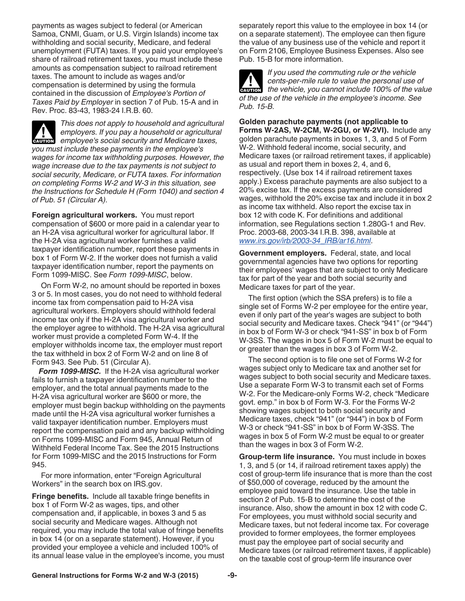<span id="page-8-0"></span>payments as wages subject to federal (or American Samoa, CNMI, Guam, or U.S. Virgin Islands) income tax withholding and social security, Medicare, and federal unemployment (FUTA) taxes. If you paid your employee's share of railroad retirement taxes, you must include these amounts as compensation subject to railroad retirement taxes. The amount to include as wages and/or compensation is determined by using the formula contained in the discussion of *Employee's Portion of Taxes Paid by Employer* in section 7 of Pub. 15-A and in Rev. Proc. 83-43, 1983-24 I.R.B. 60.

*This does not apply to household and agricultural employers. If you pay a household or agricultural*  **Propished all the mployers. If you pay a household or agricultural employee's social security and Medicare taxes,** *you must include these payments in the employee's wages for income tax withholding purposes. However, the wage increase due to the tax payments is not subject to social security, Medicare, or FUTA taxes. For information on completing Forms W-2 and W-3 in this situation, see the Instructions for Schedule H (Form 1040) and section 4 of Pub. 51 (Circular A).*

**Foreign agricultural workers.** You must report compensation of \$600 or more paid in a calendar year to an H-2A visa agricultural worker for agricultural labor. If the H-2A visa agricultural worker furnishes a valid taxpayer identification number, report these payments in box 1 of Form W-2. If the worker does not furnish a valid taxpayer identification number, report the payments on Form 1099-MISC. See *Form 1099-MISC*, below.

On Form W-2, no amount should be reported in boxes 3 or 5. In most cases, you do not need to withhold federal income tax from compensation paid to H-2A visa agricultural workers. Employers should withhold federal income tax only if the H-2A visa agricultural worker and the employer agree to withhold. The H-2A visa agricultural worker must provide a completed Form W-4. If the employer withholds income tax, the employer must report the tax withheld in box 2 of Form W-2 and on line 8 of Form 943. See Pub. 51 (Circular A).

*Form 1099-MISC.* If the H-2A visa agricultural worker fails to furnish a taxpayer identification number to the employer, and the total annual payments made to the H-2A visa agricultural worker are \$600 or more, the employer must begin backup withholding on the payments made until the H-2A visa agricultural worker furnishes a valid taxpayer identification number. Employers must report the compensation paid and any backup withholding on Forms 1099-MISC and Form 945, Annual Return of Withheld Federal Income Tax. See the 2015 Instructions for Form 1099-MISC and the 2015 Instructions for Form 945.

For more information, enter "Foreign Agricultural Workers" in the search box on IRS.gov.

**Fringe benefits.** Include all taxable fringe benefits in box 1 of Form W-2 as wages, tips, and other compensation and, if applicable, in boxes 3 and 5 as social security and Medicare wages. Although not required, you may include the total value of fringe benefits in box 14 (or on a separate statement). However, if you provided your employee a vehicle and included 100% of its annual lease value in the employee's income, you must separately report this value to the employee in box 14 (or on a separate statement). The employee can then figure the value of any business use of the vehicle and report it on Form 2106, Employee Business Expenses. Also see Pub. 15-B for more information.

*If you used the commuting rule or the vehicle cents-per-mile rule to value the personal use of*  **h** cents-per-mile rule to value the personal use of the vehicle, you cannot include 100% of the value *of the use of the vehicle in the employee's income. See Pub. 15-B.*

**Golden parachute payments (not applicable to Forms W-2AS, W-2CM, W-2GU, or W-2VI).** Include any golden parachute payments in boxes 1, 3, and 5 of Form W-2. Withhold federal income, social security, and Medicare taxes (or railroad retirement taxes, if applicable) as usual and report them in boxes 2, 4, and 6, respectively. (Use box 14 if railroad retirement taxes apply.) Excess parachute payments are also subject to a 20% excise tax. If the excess payments are considered wages, withhold the 20% excise tax and include it in box 2 as income tax withheld. Also report the excise tax in box 12 with code K. For definitions and additional information, see Regulations section 1.280G-1 and Rev. Proc. 2003-68, 2003-34 I.R.B. 398, available at *[www.irs.gov/irb/2003-34\\_IRB/ar16.html](http://www.irs.gov/irb/2003-34_IRB/ar16.html)*.

**Government employers.** Federal, state, and local governmental agencies have two options for reporting their employees' wages that are subject to only Medicare tax for part of the year and both social security and Medicare taxes for part of the year.

The first option (which the SSA prefers) is to file a single set of Forms W-2 per employee for the entire year, even if only part of the year's wages are subject to both social security and Medicare taxes. Check "941" (or "944") in box b of Form W-3 or check "941-SS" in box b of Form W-3SS. The wages in box 5 of Form W-2 must be equal to or greater than the wages in box 3 of Form W-2.

The second option is to file one set of Forms W-2 for wages subject only to Medicare tax and another set for wages subject to both social security and Medicare taxes. Use a separate Form W-3 to transmit each set of Forms W-2. For the Medicare-only Forms W-2, check "Medicare govt. emp." in box b of Form W-3. For the Forms W-2 showing wages subject to both social security and Medicare taxes, check "941" (or "944") in box b of Form W-3 or check "941-SS" in box b of Form W-3SS. The wages in box 5 of Form W-2 must be equal to or greater than the wages in box 3 of Form W-2.

**Group-term life insurance.** You must include in boxes 1, 3, and 5 (or 14, if railroad retirement taxes apply) the cost of group-term life insurance that is more than the cost of \$50,000 of coverage, reduced by the amount the employee paid toward the insurance. Use the table in section 2 of Pub. 15-B to determine the cost of the insurance. Also, show the amount in box 12 with code C. For employees, you must withhold social security and Medicare taxes, but not federal income tax. For coverage provided to former employees, the former employees must pay the employee part of social security and Medicare taxes (or railroad retirement taxes, if applicable) on the taxable cost of group-term life insurance over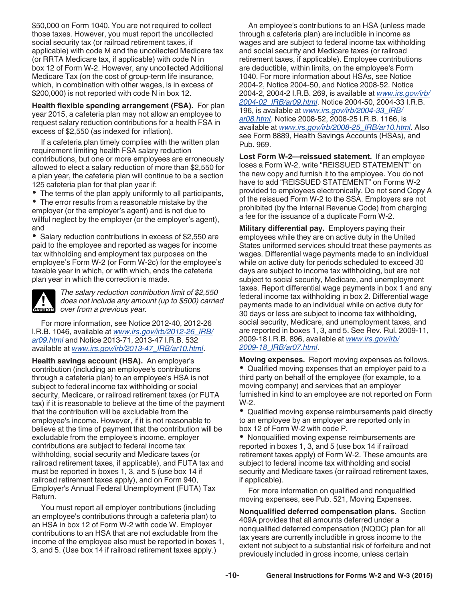<span id="page-9-0"></span>\$50,000 on Form 1040. You are not required to collect those taxes. However, you must report the uncollected social security tax (or railroad retirement taxes, if applicable) with code M and the uncollected Medicare tax (or RRTA Medicare tax, if applicable) with code N in box 12 of Form W-2. However, any uncollected Additional Medicare Tax (on the cost of group-term life insurance, which, in combination with other wages, is in excess of \$200,000) is not reported with code N in box 12.

**Health flexible spending arrangement (FSA).** For plan year 2015, a cafeteria plan may not allow an employee to request salary reduction contributions for a health FSA in excess of \$2,550 (as indexed for inflation).

If a cafeteria plan timely complies with the written plan requirement limiting health FSA salary reduction contributions, but one or more employees are erroneously allowed to elect a salary reduction of more than \$2,550 for a plan year, the cafeteria plan will continue to be a section 125 cafeteria plan for that plan year if:

The terms of the plan apply uniformly to all participants,

The error results from a reasonable mistake by the employer (or the employer's agent) and is not due to willful neglect by the employer (or the employer's agent), and

• Salary reduction contributions in excess of \$2,550 are paid to the employee and reported as wages for income tax withholding and employment tax purposes on the employee's Form W-2 (or Form W-2c) for the employee's taxable year in which, or with which, ends the cafeteria plan year in which the correction is made.



*The salary reduction contribution limit of \$2,550 does not include any amount (up to \$500) carried*  **c** does not include any amous<br>
over from a previous year.

For more information, see Notice 2012-40, 2012-26 I.R.B. 1046, available at *[www.irs.gov/irb/2012-26\\_IRB/](http://www.irs.gov/irb/2012-26_IRB/ar09.html) [ar09.html](http://www.irs.gov/irb/2012-26_IRB/ar09.html)* and Notice 2013-71, 2013-47 I.R.B. 532 available at *[www.irs.gov/irb/2013-47\\_IRB/ar10.html](http://irs.gov/irb/2013-47_IRB/ar10.html)*.

**Health savings account (HSA).** An employer's contribution (including an employee's contributions through a cafeteria plan) to an employee's HSA is not subject to federal income tax withholding or social security, Medicare, or railroad retirement taxes (or FUTA tax) if it is reasonable to believe at the time of the payment that the contribution will be excludable from the employee's income. However, if it is not reasonable to believe at the time of payment that the contribution will be excludable from the employee's income, employer contributions are subject to federal income tax withholding, social security and Medicare taxes (or railroad retirement taxes, if applicable), and FUTA tax and must be reported in boxes 1, 3, and 5 (use box 14 if railroad retirement taxes apply), and on Form 940, Employer's Annual Federal Unemployment (FUTA) Tax Return.

You must report all employer contributions (including an employee's contributions through a cafeteria plan) to an HSA in box 12 of Form W-2 with code W. Employer contributions to an HSA that are not excludable from the income of the employee also must be reported in boxes 1, 3, and 5. (Use box 14 if railroad retirement taxes apply.)

An employee's contributions to an HSA (unless made through a cafeteria plan) are includible in income as wages and are subject to federal income tax withholding and social security and Medicare taxes (or railroad retirement taxes, if applicable). Employee contributions are deductible, within limits, on the employee's Form 1040. For more information about HSAs, see Notice 2004-2, Notice 2004-50, and Notice 2008-52. Notice 2004-2, 2004-2 I.R.B. 269, is available at *[www.irs.gov/irb/](http://www.irs.gov/irb/2004-02_IRB/ar09.html) [2004-02\\_IRB/ar09.html](http://www.irs.gov/irb/2004-02_IRB/ar09.html)*. Notice 2004-50, 2004-33 I.R.B. 196, is available at *[www.irs.gov/irb/2004-33\\_IRB/](http://www.irs.gov/irb/2004-33_IRB/ar08.html) [ar08.html](http://www.irs.gov/irb/2004-33_IRB/ar08.html)*. Notice 2008-52, 2008-25 I.R.B. 1166, is available at *[www.irs.gov/irb/2008-25\\_IRB/ar10.html](http://www.irs.gov/irb/2008-25_IRB/ar10.html)*. Also see Form 8889, Health Savings Accounts (HSAs), and Pub. 969.

**Lost Form W-2—reissued statement.** If an employee loses a Form W-2, write "REISSUED STATEMENT" on the new copy and furnish it to the employee. You do not have to add "REISSUED STATEMENT" on Forms W-2 provided to employees electronically. Do not send Copy A of the reissued Form W-2 to the SSA. Employers are not prohibited (by the Internal Revenue Code) from charging a fee for the issuance of a duplicate Form W-2.

**Military differential pay.** Employers paying their employees while they are on active duty in the United States uniformed services should treat these payments as wages. Differential wage payments made to an individual while on active duty for periods scheduled to exceed 30 days are subject to income tax withholding, but are not subject to social security, Medicare, and unemployment taxes. Report differential wage payments in box 1 and any federal income tax withholding in box 2. Differential wage payments made to an individual while on active duty for 30 days or less are subject to income tax withholding, social security, Medicare, and unemployment taxes, and are reported in boxes 1, 3, and 5. See Rev. Rul. 2009-11, 2009-18 I.R.B. 896, available at *[www.irs.gov/irb/](http://www.irs.gov/irb/2009-18_IRB/ar07.html) [2009-18\\_IRB/ar07.html](http://www.irs.gov/irb/2009-18_IRB/ar07.html)*.

**Moving expenses.** Report moving expenses as follows. Qualified moving expenses that an employer paid to a third party on behalf of the employee (for example, to a moving company) and services that an employer furnished in kind to an employee are not reported on Form W-2.

Qualified moving expense reimbursements paid directly to an employee by an employer are reported only in box 12 of Form W-2 with code P.

Nonqualified moving expense reimbursements are reported in boxes 1, 3, and 5 (use box 14 if railroad retirement taxes apply) of Form W-2. These amounts are subject to federal income tax withholding and social security and Medicare taxes (or railroad retirement taxes, if applicable).

For more information on qualified and nonqualified moving expenses, see Pub. 521, Moving Expenses.

**Nonqualified deferred compensation plans.** Section 409A provides that all amounts deferred under a nonqualified deferred compensation (NQDC) plan for all tax years are currently includible in gross income to the extent not subject to a substantial risk of forfeiture and not previously included in gross income, unless certain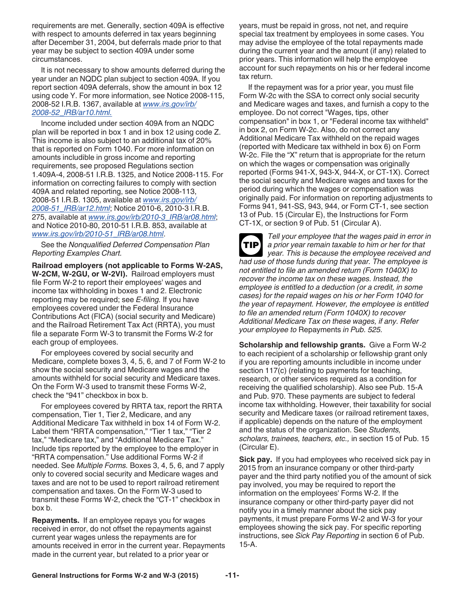<span id="page-10-0"></span>requirements are met. Generally, section 409A is effective with respect to amounts deferred in tax years beginning after December 31, 2004, but deferrals made prior to that year may be subject to section 409A under some circumstances.

It is not necessary to show amounts deferred during the year under an NQDC plan subject to section 409A. If you report section 409A deferrals, show the amount in box 12 using code Y. For more information, see Notice 2008-115, 2008-52 I.R.B. 1367, available at *[www.irs.gov/irb/](http://www.irs.gov/irb/2008-52_IRB/ar10.html) [2008-52\\_IRB/ar10.html.](http://www.irs.gov/irb/2008-52_IRB/ar10.html)*

Income included under section 409A from an NQDC plan will be reported in box 1 and in box 12 using code Z. This income is also subject to an additional tax of 20% that is reported on Form 1040. For more information on amounts includible in gross income and reporting requirements, see proposed Regulations section 1.409A-4, 2008-51 I.R.B. 1325, and Notice 2008-115. For information on correcting failures to comply with section 409A and related reporting, see Notice 2008-113, 2008-51 I.R.B. 1305, available at *[www.irs.gov/irb/](http://www.irs.gov/irb/2008-51_IRB/ar12.html) [2008-51\\_IRB/ar12.html](http://www.irs.gov/irb/2008-51_IRB/ar12.html)*; Notice 2010-6, 2010-3 I.R.B. 275, available at *[www.irs.gov/irb/2010-3\\_IRB/ar08.html](http://www.irs.gov/irb/2010-03_IRB/ar08.html)*; and Notice 2010-80, 2010-51 I.R.B. 853, available at *[www.irs.gov/irb/2010-51\\_IRB/ar08.html](http://www.irs.gov/irb/2010-51_IRB/ar08.html)*.

See the *Nonqualified Deferred Compensation Plan Reporting Examples Chart.*

**Railroad employers (not applicable to Forms W-2AS, W-2CM, W-2GU, or W-2VI).** Railroad employers must file Form W-2 to report their employees' wages and income tax withholding in boxes 1 and 2. Electronic reporting may be required; see *E-filing.* If you have employees covered under the Federal Insurance Contributions Act (FICA) (social security and Medicare) and the Railroad Retirement Tax Act (RRTA), you must file a separate Form W-3 to transmit the Forms W-2 for each group of employees.

For employees covered by social security and Medicare, complete boxes 3, 4, 5, 6, and 7 of Form W-2 to show the social security and Medicare wages and the amounts withheld for social security and Medicare taxes. On the Form W-3 used to transmit these Forms W-2, check the "941" checkbox in box b.

For employees covered by RRTA tax, report the RRTA compensation, Tier 1, Tier 2, Medicare, and any Additional Medicare Tax withheld in box 14 of Form W-2. Label them "RRTA compensation," "Tier 1 tax," "Tier 2 tax," "Medicare tax," and "Additional Medicare Tax." Include tips reported by the employee to the employer in "RRTA compensation." Use additional Forms W-2 if needed. See *Multiple Forms.* Boxes 3, 4, 5, 6, and 7 apply only to covered social security and Medicare wages and taxes and are not to be used to report railroad retirement compensation and taxes. On the Form W-3 used to transmit these Forms W-2, check the "CT-1" checkbox in box b.

**Repayments.** If an employee repays you for wages received in error, do not offset the repayments against current year wages unless the repayments are for amounts received in error in the current year. Repayments made in the current year, but related to a prior year or

years, must be repaid in gross, not net, and require special tax treatment by employees in some cases. You may advise the employee of the total repayments made during the current year and the amount (if any) related to prior years. This information will help the employee account for such repayments on his or her federal income tax return.

If the repayment was for a prior year, you must file Form W-2c with the SSA to correct only social security and Medicare wages and taxes, and furnish a copy to the employee. Do not correct "Wages, tips, other compensation" in box 1, or "Federal income tax withheld" in box 2, on Form W-2c. Also, do not correct any Additional Medicare Tax withheld on the repaid wages (reported with Medicare tax withheld in box 6) on Form W-2c. File the "X" return that is appropriate for the return on which the wages or compensation was originally reported (Forms 941-X, 943-X, 944-X, or CT-1X). Correct the social security and Medicare wages and taxes for the period during which the wages or compensation was originally paid. For information on reporting adjustments to Forms 941, 941-SS, 943, 944, or Form CT-1, see section 13 of Pub. 15 (Circular E), the Instructions for Form CT-1X, or section 9 of Pub. 51 (Circular A).

*Tell your employee that the wages paid in error in a prior year remain taxable to him or her for that year. This is because the employee received and had use of those funds during that year. The employee is not entitled to file an amended return (Form 1040X) to recover the income tax on these wages. Instead, the employee is entitled to a deduction (or a credit, in some cases) for the repaid wages on his or her Form 1040 for the year of repayment. However, the employee is entitled to file an amended return (Form 1040X) to recover Additional Medicare Tax on these wages, if any. Refer your employee to* Repayments *in Pub. 525.* **TIP**

**Scholarship and fellowship grants.** Give a Form W-2 to each recipient of a scholarship or fellowship grant only if you are reporting amounts includible in income under section 117(c) (relating to payments for teaching, research, or other services required as a condition for receiving the qualified scholarship). Also see Pub. 15-A and Pub. 970. These payments are subject to federal income tax withholding. However, their taxability for social security and Medicare taxes (or railroad retirement taxes, if applicable) depends on the nature of the employment and the status of the organization. See *Students, scholars, trainees, teachers, etc.,* in section 15 of Pub. 15 (Circular E).

**Sick pay.** If you had employees who received sick pay in 2015 from an insurance company or other third-party payer and the third party notified you of the amount of sick pay involved, you may be required to report the information on the employees' Forms W-2. If the insurance company or other third-party payer did not notify you in a timely manner about the sick pay payments, it must prepare Forms W-2 and W-3 for your employees showing the sick pay. For specific reporting instructions, see *Sick Pay Reporting* in section 6 of Pub. 15-A.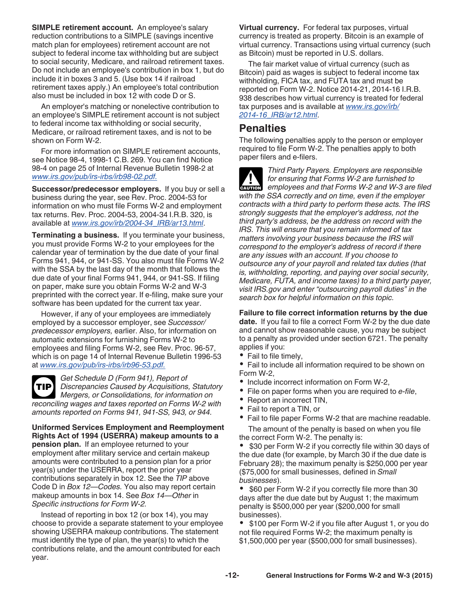<span id="page-11-0"></span>**SIMPLE retirement account.** An employee's salary reduction contributions to a SIMPLE (savings incentive match plan for employees) retirement account are not subject to federal income tax withholding but are subject to social security, Medicare, and railroad retirement taxes. Do not include an employee's contribution in box 1, but do include it in boxes 3 and 5. (Use box 14 if railroad retirement taxes apply.) An employee's total contribution also must be included in box 12 with code D or S.

An employer's matching or nonelective contribution to an employee's SIMPLE retirement account is not subject to federal income tax withholding or social security, Medicare, or railroad retirement taxes, and is not to be shown on Form W-2.

For more information on SIMPLE retirement accounts, see Notice 98-4, 1998-1 C.B. 269. You can find Notice 98-4 on page 25 of Internal Revenue Bulletin 1998-2 at *[www.irs.gov/pub/irs-irbs/irb98-02.pdf.](http://www.irs.gov/pub/irs-irbs/irb98-02.pdf)*

**Successor/predecessor employers.** If you buy or sell a business during the year, see Rev. Proc. 2004-53 for information on who must file Forms W-2 and employment tax returns. Rev. Proc. 2004-53, 2004-34 I.R.B. 320, is available at *[www.irs.gov/irb/2004-34\\_IRB/ar13.html](http://www.irs.gov/irb/2004-34_IRB/ar13.html)*.

**Terminating a business.** If you terminate your business, you must provide Forms W-2 to your employees for the calendar year of termination by the due date of your final Forms 941, 944, or 941-SS. You also must file Forms W-2 with the SSA by the last day of the month that follows the due date of your final Forms 941, 944, or 941-SS. If filing on paper, make sure you obtain Forms W-2 and W-3 preprinted with the correct year. If e-filing, make sure your software has been updated for the current tax year.

However, if any of your employees are immediately employed by a successor employer, see *Successor/ predecessor employers,* earlier. Also, for information on automatic extensions for furnishing Forms W-2 to employees and filing Forms W-2, see Rev. Proc. 96-57, which is on page 14 of Internal Revenue Bulletin 1996-53 at *[www.irs.gov/pub/irs-irbs/irb96-53.pdf.](http://www.irs.gov/pub/irs-irbs/irb96-53.pdf)*

*Get Schedule D (Form 941), Report of Discrepancies Caused by Acquisitions, Statutory Mergers, or Consolidations, for information on reconciling wages and taxes reported on Forms W-2 with amounts reported on Forms 941, 941-SS, 943, or 944.* **TIP**

**Uniformed Services Employment and Reemployment Rights Act of 1994 (USERRA) makeup amounts to a pension plan.** If an employee returned to your employment after military service and certain makeup amounts were contributed to a pension plan for a prior year(s) under the USERRA, report the prior year contributions separately in box 12. See the *TIP* above Code D in *Box 12—Codes.* You also may report certain makeup amounts in box 14. See *Box 14—Other* in *Specific instructions for Form W-2.*

Instead of reporting in box 12 (or box 14), you may choose to provide a separate statement to your employee showing USERRA makeup contributions. The statement must identify the type of plan, the year(s) to which the contributions relate, and the amount contributed for each year.

**Virtual currency.** For federal tax purposes, virtual currency is treated as property. Bitcoin is an example of virtual currency. Transactions using virtual currency (such as Bitcoin) must be reported in U.S. dollars.

The fair market value of virtual currency (such as Bitcoin) paid as wages is subject to federal income tax withholding, FICA tax, and FUTA tax and must be reported on Form W-2. Notice 2014-21, 2014-16 I.R.B. 938 describes how virtual currency is treated for federal tax purposes and is available at *[www.irs.gov/irb/](http://www.irs.gov/irb/2014-16_IRB/ar12.html) [2014-16\\_IRB/ar12.html](http://www.irs.gov/irb/2014-16_IRB/ar12.html)*.

## **Penalties**

The following penalties apply to the person or employer required to file Form W-2. The penalties apply to both paper filers and e-filers.

*Third Party Payers. Employers are responsible for ensuring that Forms W-2 are furnished to exands* for ensuring that Forms W-2 are furnished to employees and that Forms W-2 and W-3 are filed in the same of the same set of the same set of the same set of the same set of the same set of the same set of the same *with the SSA correctly and on time, even if the employer contracts with a third party to perform these acts. The IRS strongly suggests that the employer's address, not the third party's address, be the address on record with the IRS. This will ensure that you remain informed of tax matters involving your business because the IRS will correspond to the employer's address of record if there are any issues with an account. If you choose to outsource any of your payroll and related tax duties (that is, withholding, reporting, and paying over social security, Medicare, FUTA, and income taxes) to a third party payer, visit IRS.gov and enter "outsourcing payroll duties" in the search box for helpful information on this topic.*

**Failure to file correct information returns by the due date.** If you fail to file a correct Form W-2 by the due date and cannot show reasonable cause, you may be subject to a penalty as provided under section 6721. The penalty applies if you:

• Fail to file timely,

Fail to include all information required to be shown on  $\bullet$ Form W-2,

- Include incorrect information on Form W-2,
- File on paper forms when you are required to *e-file*,
- $\bullet$ Report an incorrect TIN,
- Fail to report a TIN, or
- Fail to file paper Forms W-2 that are machine readable.

The amount of the penalty is based on when you file the correct Form W-2. The penalty is:

 \$30 per Form W-2 if you correctly file within 30 days of the due date (for example, by March 30 if the due date is February 28); the maximum penalty is \$250,000 per year (\$75,000 for small businesses, defined in *Small businesses*).

• \$60 per Form W-2 if you correctly file more than 30 days after the due date but by August 1; the maximum penalty is \$500,000 per year (\$200,000 for small businesses).

• \$100 per Form W-2 if you file after August 1, or you do not file required Forms W-2; the maximum penalty is \$1,500,000 per year (\$500,000 for small businesses).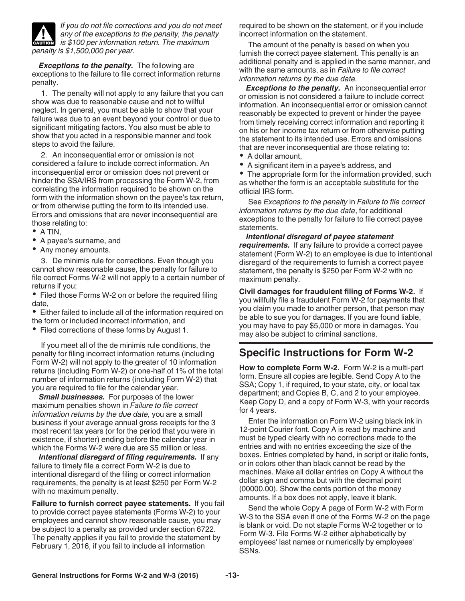<span id="page-12-0"></span>

*If you do not file corrections and you do not meet any of the exceptions to the penalty, the penalty is \$100 per information return. The maximum* is \$100 per information return. The maximum *penalty is \$1,500,000 per year.*

*Exceptions to the penalty.* The following are exceptions to the failure to file correct information returns penalty.

1. The penalty will not apply to any failure that you can show was due to reasonable cause and not to willful neglect. In general, you must be able to show that your failure was due to an event beyond your control or due to significant mitigating factors. You also must be able to show that you acted in a responsible manner and took steps to avoid the failure.

2. An inconsequential error or omission is not considered a failure to include correct information. An inconsequential error or omission does not prevent or hinder the SSA/IRS from processing the Form W-2, from correlating the information required to be shown on the form with the information shown on the payee's tax return, or from otherwise putting the form to its intended use. Errors and omissions that are never inconsequential are those relating to:

- $\bullet$  A TIN,
- A payee's surname, and
- Any money amounts.

3. De minimis rule for corrections. Even though you cannot show reasonable cause, the penalty for failure to file correct Forms W-2 will not apply to a certain number of returns if you:

• Filed those Forms W-2 on or before the required filing date,

Either failed to include all of the information required on the form or included incorrect information, and

• Filed corrections of these forms by August 1.

If you meet all of the de minimis rule conditions, the penalty for filing incorrect information returns (including Form W-2) will not apply to the greater of 10 information returns (including Form W-2) or one-half of 1% of the total number of information returns (including Form W-2) that you are required to file for the calendar year.

*Small businesses.* For purposes of the lower maximum penalties shown in *Failure to file correct information returns by the due date,* you are a small business if your average annual gross receipts for the 3 most recent tax years (or for the period that you were in existence, if shorter) ending before the calendar year in which the Forms W-2 were due are \$5 million or less.

*Intentional disregard of filing requirements.* If any failure to timely file a correct Form W-2 is due to intentional disregard of the filing or correct information requirements, the penalty is at least \$250 per Form W-2 with no maximum penalty.

**Failure to furnish correct payee statements.** If you fail to provide correct payee statements (Forms W-2) to your employees and cannot show reasonable cause, you may be subject to a penalty as provided under section 6722. The penalty applies if you fail to provide the statement by February 1, 2016, if you fail to include all information

required to be shown on the statement, or if you include incorrect information on the statement.

The amount of the penalty is based on when you furnish the correct payee statement. This penalty is an additional penalty and is applied in the same manner, and with the same amounts, as in *Failure to file correct information returns by the due date.*

*Exceptions to the penalty.* An inconsequential error or omission is not considered a failure to include correct information. An inconsequential error or omission cannot reasonably be expected to prevent or hinder the payee from timely receiving correct information and reporting it on his or her income tax return or from otherwise putting the statement to its intended use. Errors and omissions that are never inconsequential are those relating to:

- A dollar amount,
- A significant item in a payee's address, and

• The appropriate form for the information provided, such as whether the form is an acceptable substitute for the official IRS form.

See *Exceptions to the penalty* in *Failure to file correct information returns by the due date*, for additional exceptions to the penalty for failure to file correct payee statements.

*Intentional disregard of payee statement requirements.* If any failure to provide a correct payee statement (Form W-2) to an employee is due to intentional disregard of the requirements to furnish a correct payee statement, the penalty is \$250 per Form W-2 with no maximum penalty.

**Civil damages for fraudulent filing of Forms W-2.** If you willfully file a fraudulent Form W-2 for payments that you claim you made to another person, that person may be able to sue you for damages. If you are found liable, you may have to pay \$5,000 or more in damages. You may also be subject to criminal sanctions.

## **Specific Instructions for Form W-2**

**How to complete Form W-2.** Form W-2 is a multi-part form. Ensure all copies are legible. Send Copy A to the SSA; Copy 1, if required, to your state, city, or local tax department; and Copies B, C, and 2 to your employee. Keep Copy D, and a copy of Form W-3, with your records for 4 years.

Enter the information on Form W-2 using black ink in 12-point Courier font. Copy A is read by machine and must be typed clearly with no corrections made to the entries and with no entries exceeding the size of the boxes. Entries completed by hand, in script or italic fonts, or in colors other than black cannot be read by the machines. Make all dollar entries on Copy A without the dollar sign and comma but with the decimal point (00000.00). Show the cents portion of the money amounts. If a box does not apply, leave it blank.

Send the whole Copy A page of Form W-2 with Form W-3 to the SSA even if one of the Forms W-2 on the page is blank or void. Do not staple Forms W-2 together or to Form W-3. File Forms W-2 either alphabetically by employees' last names or numerically by employees' SSNs.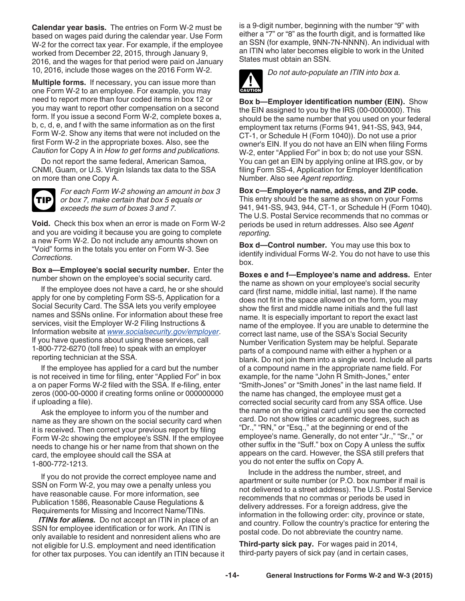<span id="page-13-0"></span>**Calendar year basis.** The entries on Form W-2 must be based on wages paid during the calendar year. Use Form W-2 for the correct tax year. For example, if the employee worked from December 22, 2015, through January 9, 2016, and the wages for that period were paid on January 10, 2016, include those wages on the 2016 Form W-2.

**Multiple forms.** If necessary, you can issue more than one Form W-2 to an employee. For example, you may need to report more than four coded items in box 12 or you may want to report other compensation on a second form. If you issue a second Form W-2, complete boxes a, b, c, d, e, and f with the same information as on the first Form W-2. Show any items that were not included on the first Form W-2 in the appropriate boxes. Also, see the *Caution* for Copy A in *How to get forms and publications.*

Do not report the same federal, American Samoa, CNMI, Guam, or U.S. Virgin Islands tax data to the SSA on more than one Copy A.



*For each Form W-2 showing an amount in box 3 or box 7, make certain that box 5 equals or exceeds the sum of boxes 3 and 7.*

**Void.** Check this box when an error is made on Form W-2 and you are voiding it because you are going to complete a new Form W-2. Do not include any amounts shown on "Void" forms in the totals you enter on Form W-3. See *Corrections.* 

**Box a—Employee's social security number.** Enter the number shown on the employee's social security card.

If the employee does not have a card, he or she should apply for one by completing Form SS-5, Application for a Social Security Card. The SSA lets you verify employee names and SSNs online. For information about these free services, visit the Employer W-2 Filing Instructions & Information website at *[www.socialsecurity.gov/employer](http://www.socialsecurity.gov/employer)*. If you have questions about using these services, call 1-800-772-6270 (toll free) to speak with an employer reporting technician at the SSA.

If the employee has applied for a card but the number is not received in time for filing, enter "Applied For" in box a on paper Forms W-2 filed with the SSA. If e-filing, enter zeros (000-00-0000 if creating forms online or 000000000 if uploading a file).

Ask the employee to inform you of the number and name as they are shown on the social security card when it is received. Then correct your previous report by filing Form W-2c showing the employee's SSN. If the employee needs to change his or her name from that shown on the card, the employee should call the SSA at 1-800-772-1213.

If you do not provide the correct employee name and SSN on Form W-2, you may owe a penalty unless you have reasonable cause. For more information, see Publication 1586, Reasonable Cause Regulations & Requirements for Missing and Incorrect Name/TINs.

*ITINs for aliens.* Do not accept an ITIN in place of an SSN for employee identification or for work. An ITIN is only available to resident and nonresident aliens who are not eligible for U.S. employment and need identification for other tax purposes. You can identify an ITIN because it is a 9-digit number, beginning with the number "9" with either a "7" or "8" as the fourth digit, and is formatted like an SSN (for example, 9NN-7N-NNNN). An individual with an ITIN who later becomes eligible to work in the United States must obtain an SSN.



*Do not auto-populate an ITIN into box a.*

**Box b—Employer identification number (EIN).** Show the EIN assigned to you by the IRS (00-0000000). This should be the same number that you used on your federal employment tax returns (Forms 941, 941-SS, 943, 944, CT-1, or Schedule H (Form 1040)). Do not use a prior owner's EIN. If you do not have an EIN when filing Forms W-2, enter "Applied For" in box b; do not use your SSN. You can get an EIN by applying online at IRS.gov, or by filing Form SS-4, Application for Employer Identification Number. Also see *Agent reporting.*

**Box c—Employer's name, address, and ZIP code.**  This entry should be the same as shown on your Forms 941, 941-SS, 943, 944, CT-1, or Schedule H (Form 1040). The U.S. Postal Service recommends that no commas or periods be used in return addresses. Also see *Agent reporting.*

**Box d—Control number.** You may use this box to identify individual Forms W-2. You do not have to use this box.

**Boxes e and f—Employee's name and address.** Enter the name as shown on your employee's social security card (first name, middle initial, last name). If the name does not fit in the space allowed on the form, you may show the first and middle name initials and the full last name. It is especially important to report the exact last name of the employee. If you are unable to determine the correct last name, use of the SSA's Social Security Number Verification System may be helpful. Separate parts of a compound name with either a hyphen or a blank. Do not join them into a single word. Include all parts of a compound name in the appropriate name field. For example, for the name "John R Smith-Jones," enter "Smith-Jones" or "Smith Jones" in the last name field. If the name has changed, the employee must get a corrected social security card from any SSA office. Use the name on the original card until you see the corrected card. Do not show titles or academic degrees, such as "Dr.," "RN," or "Esq.," at the beginning or end of the employee's name. Generally, do not enter "Jr.," "Sr.," or other suffix in the "Suff." box on Copy A unless the suffix appears on the card. However, the SSA still prefers that you do not enter the suffix on Copy A.

Include in the address the number, street, and apartment or suite number (or P.O. box number if mail is not delivered to a street address). The U.S. Postal Service recommends that no commas or periods be used in delivery addresses. For a foreign address, give the information in the following order: city, province or state, and country. Follow the country's practice for entering the postal code. Do not abbreviate the country name.

**Third-party sick pay.** For wages paid in 2014, third-party payers of sick pay (and in certain cases,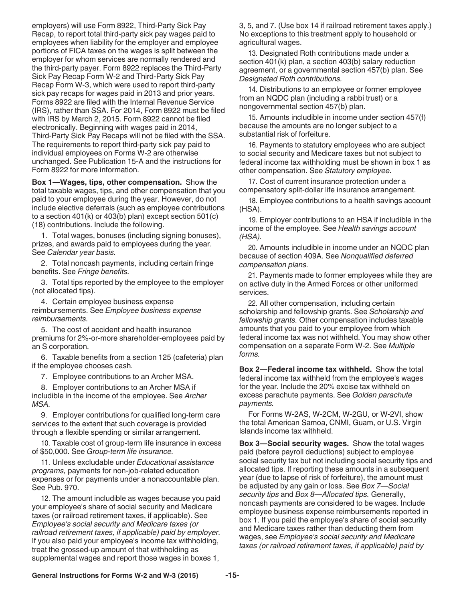<span id="page-14-0"></span>employers) will use Form 8922, Third-Party Sick Pay Recap, to report total third-party sick pay wages paid to employees when liability for the employer and employee portions of FICA taxes on the wages is split between the employer for whom services are normally rendered and the third-party payer. Form 8922 replaces the Third-Party Sick Pay Recap Form W-2 and Third-Party Sick Pay Recap Form W-3, which were used to report third-party sick pay recaps for wages paid in 2013 and prior years. Forms 8922 are filed with the Internal Revenue Service (IRS), rather than SSA. For 2014, Form 8922 must be filed with IRS by March 2, 2015. Form 8922 cannot be filed electronically. Beginning with wages paid in 2014, Third-Party Sick Pay Recaps will not be filed with the SSA. The requirements to report third-party sick pay paid to individual employees on Forms W-2 are otherwise unchanged. See Publication 15-A and the instructions for Form 8922 for more information.

**Box 1—Wages, tips, other compensation.** Show the total taxable wages, tips, and other compensation that you paid to your employee during the year. However, do not include elective deferrals (such as employee contributions to a section 401(k) or 403(b) plan) except section 501(c) (18) contributions. Include the following.

1. Total wages, bonuses (including signing bonuses), prizes, and awards paid to employees during the year. See *Calendar year basis.*

2. Total noncash payments, including certain fringe benefits. See *Fringe benefits.*

3. Total tips reported by the employee to the employer (not allocated tips).

4. Certain employee business expense reimbursements. See *Employee business expense reimbursements.*

5. The cost of accident and health insurance premiums for 2%-or-more shareholder-employees paid by an S corporation.

6. Taxable benefits from a section 125 (cafeteria) plan if the employee chooses cash.

7. Employee contributions to an Archer MSA.

8. Employer contributions to an Archer MSA if includible in the income of the employee. See *Archer MSA.* 

9. Employer contributions for qualified long-term care services to the extent that such coverage is provided through a flexible spending or similar arrangement.

10. Taxable cost of group-term life insurance in excess of \$50,000. See *Group-term life insurance.* 

11. Unless excludable under *Educational assistance programs,* payments for non-job-related education expenses or for payments under a nonaccountable plan. See Pub. 970.

12. The amount includible as wages because you paid your employee's share of social security and Medicare taxes (or railroad retirement taxes, if applicable). See *Employee's social security and Medicare taxes (or railroad retirement taxes, if applicable) paid by employer.*  If you also paid your employee's income tax withholding, treat the grossed-up amount of that withholding as supplemental wages and report those wages in boxes 1,

3, 5, and 7. (Use box 14 if railroad retirement taxes apply.) No exceptions to this treatment apply to household or agricultural wages.

13. Designated Roth contributions made under a section 401(k) plan, a section 403(b) salary reduction agreement, or a governmental section 457(b) plan. See *Designated Roth contributions.*

14. Distributions to an employee or former employee from an NQDC plan (including a rabbi trust) or a nongovernmental section 457(b) plan.

15. Amounts includible in income under section 457(f) because the amounts are no longer subject to a substantial risk of forfeiture.

16. Payments to statutory employees who are subject to social security and Medicare taxes but not subject to federal income tax withholding must be shown in box 1 as other compensation. See *Statutory employee.*

17. Cost of current insurance protection under a compensatory split-dollar life insurance arrangement.

18. Employee contributions to a health savings account (HSA).

19. Employer contributions to an HSA if includible in the income of the employee. See *Health savings account (HSA).*

20. Amounts includible in income under an NQDC plan because of section 409A. See *Nonqualified deferred compensation plans.*

21. Payments made to former employees while they are on active duty in the Armed Forces or other uniformed services.

22. All other compensation, including certain scholarship and fellowship grants. See *Scholarship and fellowship grants.* Other compensation includes taxable amounts that you paid to your employee from which federal income tax was not withheld. You may show other compensation on a separate Form W-2. See *Multiple forms.*

**Box 2—Federal income tax withheld.** Show the total federal income tax withheld from the employee's wages for the year. Include the 20% excise tax withheld on excess parachute payments. See *Golden parachute payments.* 

For Forms W-2AS, W-2CM, W-2GU, or W-2VI, show the total American Samoa, CNMI, Guam, or U.S. Virgin Islands income tax withheld.

**Box 3—Social security wages.** Show the total wages paid (before payroll deductions) subject to employee social security tax but not including social security tips and allocated tips. If reporting these amounts in a subsequent year (due to lapse of risk of forfeiture), the amount must be adjusted by any gain or loss. See *Box 7—Social security tips* and *Box 8—Allocated tips.* Generally, noncash payments are considered to be wages. Include employee business expense reimbursements reported in box 1. If you paid the employee's share of social security and Medicare taxes rather than deducting them from wages, see *Employee's social security and Medicare taxes (or railroad retirement taxes, if applicable) paid by*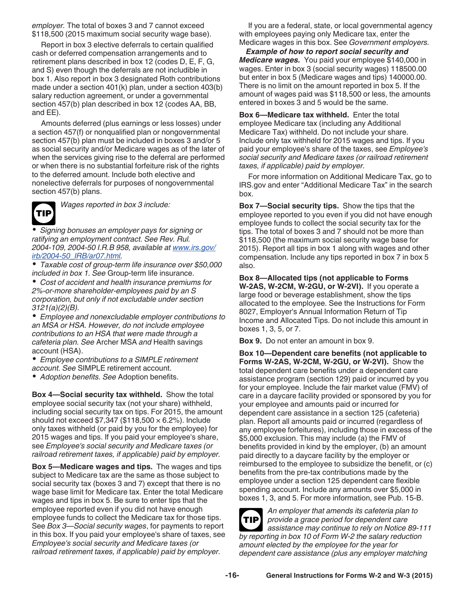<span id="page-15-0"></span>*employer.* The total of boxes 3 and 7 cannot exceed \$118,500 (2015 maximum social security wage base).

Report in box 3 elective deferrals to certain qualified cash or deferred compensation arrangements and to retirement plans described in box 12 (codes D, E, F, G, and S) even though the deferrals are not includible in box 1. Also report in box 3 designated Roth contributions made under a section 401(k) plan, under a section 403(b) salary reduction agreement, or under a governmental section 457(b) plan described in box 12 (codes AA, BB, and EE).

Amounts deferred (plus earnings or less losses) under a section 457(f) or nonqualified plan or nongovernmental section 457(b) plan must be included in boxes 3 and/or 5 as social security and/or Medicare wages as of the later of when the services giving rise to the deferral are performed or when there is no substantial forfeiture risk of the rights to the deferred amount. Include both elective and nonelective deferrals for purposes of nongovernmental section 457(b) plans.



*Wages reported in box 3 include:*

*Signing bonuses an employer pays for signing or ratifying an employment contract. See Rev. Rul. 2004-109, 2004-50 I.R.B 958, available at [www.irs.gov/](http://www.irs.gov/irb/2004-50_IRB/ar07.html) [irb/2004-50\\_IRB/ar07.html.](http://www.irs.gov/irb/2004-50_IRB/ar07.html)*

*Taxable cost of group-term life insurance over \$50,000 included in box 1. See* Group-term life insurance.

*Cost of accident and health insurance premiums for 2%-or-more shareholder-employees paid by an S corporation, but only if not excludable under section 3121(a)(2)(B).*

*Employee and nonexcludable employer contributions to an MSA or HSA. However, do not include employee contributions to an HSA that were made through a cafeteria plan. See* Archer MSA *and* Health savings account (HSA).

*Employee contributions to a SIMPLE retirement account. See* SIMPLE retirement account.

*Adoption benefits. See* Adoption benefits.

**Box 4—Social security tax withheld.** Show the total employee social security tax (not your share) withheld, including social security tax on tips. For 2015, the amount should not exceed  $$7,347$  (\$118,500  $\times$  6.2%). Include only taxes withheld (or paid by you for the employee) for 2015 wages and tips. If you paid your employee's share, see *Employee's social security and Medicare taxes (or railroad retirement taxes, if applicable) paid by employer.*

**Box 5—Medicare wages and tips.** The wages and tips subject to Medicare tax are the same as those subject to social security tax (boxes 3 and 7) except that there is no wage base limit for Medicare tax. Enter the total Medicare wages and tips in box 5. Be sure to enter tips that the employee reported even if you did not have enough employee funds to collect the Medicare tax for those tips. See *Box 3—Social security wages*, for payments to report in this box. If you paid your employee's share of taxes, see *Employee's social security and Medicare taxes (or railroad retirement taxes, if applicable) paid by employer.* 

If you are a federal, state, or local governmental agency with employees paying only Medicare tax, enter the Medicare wages in this box. See *Government employers.*

*Example of how to report social security and Medicare wages.* You paid your employee \$140,000 in wages. Enter in box 3 (social security wages) 118500.00 but enter in box 5 (Medicare wages and tips) 140000.00. There is no limit on the amount reported in box 5. If the amount of wages paid was \$118,500 or less, the amounts entered in boxes 3 and 5 would be the same.

**Box 6—Medicare tax withheld.** Enter the total employee Medicare tax (including any Additional Medicare Tax) withheld. Do not include your share. Include only tax withheld for 2015 wages and tips. If you paid your employee's share of the taxes, see *Employee's social security and Medicare taxes (or railroad retirement taxes, if applicable) paid by employer.*

For more information on Additional Medicare Tax, go to IRS.gov and enter "Additional Medicare Tax" in the search box.

**Box 7—Social security tips.** Show the tips that the employee reported to you even if you did not have enough employee funds to collect the social security tax for the tips. The total of boxes 3 and 7 should not be more than \$118,500 (the maximum social security wage base for 2015). Report all tips in box 1 along with wages and other compensation. Include any tips reported in box 7 in box 5 also.

**Box 8—Allocated tips (not applicable to Forms W-2AS, W-2CM, W-2GU, or W-2VI).** If you operate a large food or beverage establishment, show the tips allocated to the employee. See the Instructions for Form 8027, Employer's Annual Information Return of Tip Income and Allocated Tips. Do not include this amount in boxes 1, 3, 5, or 7.

**Box 9.** Do not enter an amount in box 9.

**Box 10—Dependent care benefits (not applicable to Forms W-2AS, W-2CM, W-2GU, or W-2VI).** Show the total dependent care benefits under a dependent care assistance program (section 129) paid or incurred by you for your employee. Include the fair market value (FMV) of care in a daycare facility provided or sponsored by you for your employee and amounts paid or incurred for dependent care assistance in a section 125 (cafeteria) plan. Report all amounts paid or incurred (regardless of any employee forfeitures), including those in excess of the \$5,000 exclusion. This may include (a) the FMV of benefits provided in kind by the employer, (b) an amount paid directly to a daycare facility by the employer or reimbursed to the employee to subsidize the benefit, or (c) benefits from the pre-tax contributions made by the employee under a section 125 dependent care flexible spending account. Include any amounts over \$5,000 in boxes 1, 3, and 5. For more information, see Pub. 15-B.

*An employer that amends its cafeteria plan to provide a grace period for dependent care assistance may continue to rely on Notice 89-111 by reporting in box 10 of Form W-2 the salary reduction amount elected by the employee for the year for dependent care assistance (plus any employer matching*  **TIP**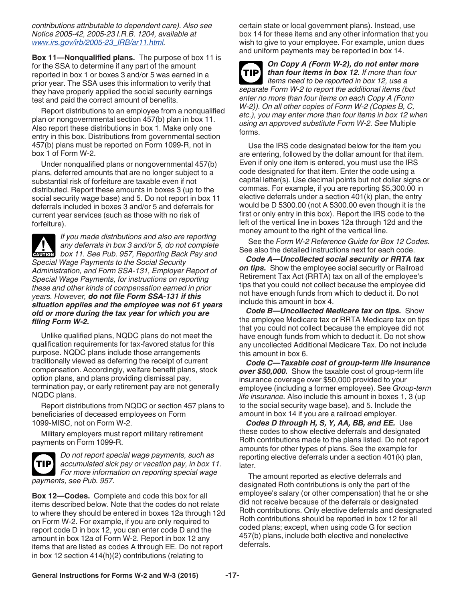<span id="page-16-0"></span>*contributions attributable to dependent care). Also see Notice 2005-42, 2005-23 I.R.B. 1204, available at [www.irs.gov/irb/2005-23\\_IRB/ar11.html](http://www.irs.gov/irb/2005-23_IRB/ar11.html).*

**Box 11—Nonqualified plans.** The purpose of box 11 is for the SSA to determine if any part of the amount reported in box 1 or boxes 3 and/or 5 was earned in a prior year. The SSA uses this information to verify that they have properly applied the social security earnings test and paid the correct amount of benefits.

Report distributions to an employee from a nonqualified plan or nongovernmental section 457(b) plan in box 11. Also report these distributions in box 1. Make only one entry in this box. Distributions from governmental section 457(b) plans must be reported on Form 1099-R, not in box 1 of Form W-2.

Under nonqualified plans or nongovernmental 457(b) plans, deferred amounts that are no longer subject to a substantial risk of forfeiture are taxable even if not distributed. Report these amounts in boxes 3 (up to the social security wage base) and 5. Do not report in box 11 deferrals included in boxes 3 and/or 5 and deferrals for current year services (such as those with no risk of forfeiture).

*If you made distributions and also are reporting any deferrals in box 3 and/or 5, do not complete*  **box 11. See Pub. 957, Reporting Back Pay and <b>CAUTION** *Special Wage Payments to the Social Security Administration, and Form SSA-131, Employer Report of Special Wage Payments, for instructions on reporting these and other kinds of compensation earned in prior years. However, do not file Form SSA-131 if this situation applies and the employee was not 61 years old or more during the tax year for which you are filing Form W-2.*

Unlike qualified plans, NQDC plans do not meet the qualification requirements for tax-favored status for this purpose. NQDC plans include those arrangements traditionally viewed as deferring the receipt of current compensation. Accordingly, welfare benefit plans, stock option plans, and plans providing dismissal pay, termination pay, or early retirement pay are not generally NQDC plans.

Report distributions from NQDC or section 457 plans to beneficiaries of deceased employees on Form 1099-MISC, not on Form W-2.

Military employers must report military retirement payments on Form 1099-R.



*Do not report special wage payments, such as accumulated sick pay or vacation pay, in box 11. For more information on reporting special wage payments, see Pub. 957.*

**Box 12—Codes.** Complete and code this box for all items described below. Note that the codes do not relate to where they should be entered in boxes 12a through 12d on Form W-2. For example, if you are only required to report code D in box 12, you can enter code D and the amount in box 12a of Form W-2. Report in box 12 any items that are listed as codes A through EE. Do not report in box 12 section 414(h)(2) contributions (relating to

certain state or local government plans). Instead, use box 14 for these items and any other information that you wish to give to your employee. For example, union dues and uniform payments may be reported in box 14.



### *On Copy A (Form W-2), do not enter more than four items in box 12. If more than four items need to be reported in box 12, use a*

*separate Form W-2 to report the additional items (but enter no more than four items on each Copy A (Form W-2)). On all other copies of Form W-2 (Copies B, C, etc.), you may enter more than four items in box 12 when using an approved substitute Form W-2. See* Multiple forms.

Use the IRS code designated below for the item you are entering, followed by the dollar amount for that item. Even if only one item is entered, you must use the IRS code designated for that item. Enter the code using a capital letter(s). Use decimal points but not dollar signs or commas. For example, if you are reporting \$5,300.00 in elective deferrals under a section 401(k) plan, the entry would be D 5300.00 (not A 5300.00 even though it is the first or only entry in this box). Report the IRS code to the left of the vertical line in boxes 12a through 12d and the money amount to the right of the vertical line.

See the *Form W-2 Reference Guide for Box 12 Codes.*  See also the detailed instructions next for each code.

*Code A—Uncollected social security or RRTA tax*  **on tips.** Show the employee social security or Railroad Retirement Tax Act (RRTA) tax on all of the employee's tips that you could not collect because the employee did not have enough funds from which to deduct it. Do not include this amount in box 4.

*Code B—Uncollected Medicare tax on tips.* Show the employee Medicare tax or RRTA Medicare tax on tips that you could not collect because the employee did not have enough funds from which to deduct it. Do not show any uncollected Additional Medicare Tax. Do not include this amount in box 6.

*Code C—Taxable cost of group-term life insurance over \$50,000.* Show the taxable cost of group-term life insurance coverage over \$50,000 provided to your employee (including a former employee). See *Group-term life insurance.* Also include this amount in boxes 1, 3 (up to the social security wage base), and 5. Include the amount in box 14 if you are a railroad employer.

*Codes D through H, S, Y, AA, BB, and EE.* Use these codes to show elective deferrals and designated Roth contributions made to the plans listed. Do not report amounts for other types of plans. See the example for reporting elective deferrals under a section 401(k) plan, later.

The amount reported as elective deferrals and designated Roth contributions is only the part of the employee's salary (or other compensation) that he or she did not receive because of the deferrals or designated Roth contributions. Only elective deferrals and designated Roth contributions should be reported in box 12 for all coded plans; except, when using code G for section 457(b) plans, include both elective and nonelective deferrals.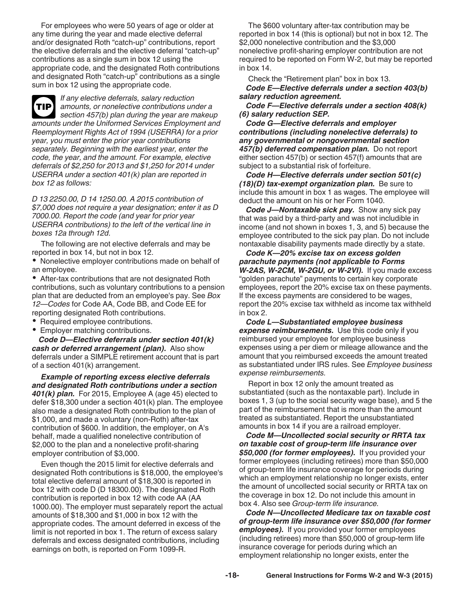<span id="page-17-0"></span>For employees who were 50 years of age or older at any time during the year and made elective deferral and/or designated Roth "catch-up" contributions, report the elective deferrals and the elective deferral "catch-up" contributions as a single sum in box 12 using the appropriate code, and the designated Roth contributions and designated Roth "catch-up" contributions as a single sum in box 12 using the appropriate code.

*If any elective deferrals, salary reduction amounts, or nonelective contributions under a section 457(b) plan during the year are makeup amounts under the Uniformed Services Employment and Reemployment Rights Act of 1994 (USERRA) for a prior year, you must enter the prior year contributions separately. Beginning with the earliest year, enter the code, the year, and the amount. For example, elective deferrals of \$2,250 for 2013 and \$1,250 for 2014 under USERRA under a section 401(k) plan are reported in box 12 as follows:* **TIP**

*D 13 2250.00, D 14 1250.00. A 2015 contribution of \$7,000 does not require a year designation; enter it as D 7000.00. Report the code (and year for prior year USERRA contributions) to the left of the vertical line in boxes 12a through 12d.*

The following are not elective deferrals and may be reported in box 14, but not in box 12.

Nonelective employer contributions made on behalf of an employee.

After-tax contributions that are not designated Roth contributions, such as voluntary contributions to a pension plan that are deducted from an employee's pay. See *Box 12—Codes* for Code AA, Code BB, and Code EE for reporting designated Roth contributions.

• Required employee contributions.

Employer matching contributions.

*Code D—Elective deferrals under section 401(k) cash or deferred arrangement (plan).* Also show deferrals under a SIMPLE retirement account that is part of a section 401(k) arrangement.

*Example of reporting excess elective deferrals and designated Roth contributions under a section 401(k) plan.* For 2015, Employee A (age 45) elected to defer \$18,300 under a section 401(k) plan. The employee also made a designated Roth contribution to the plan of \$1,000, and made a voluntary (non-Roth) after-tax contribution of \$600. In addition, the employer, on A's behalf, made a qualified nonelective contribution of \$2,000 to the plan and a nonelective profit-sharing employer contribution of \$3,000.

Even though the 2015 limit for elective deferrals and designated Roth contributions is \$18,000, the employee's total elective deferral amount of \$18,300 is reported in box 12 with code D (D 18300.00). The designated Roth contribution is reported in box 12 with code AA (AA 1000.00). The employer must separately report the actual amounts of \$18,300 and \$1,000 in box 12 with the appropriate codes. The amount deferred in excess of the limit is not reported in box 1. The return of excess salary deferrals and excess designated contributions, including earnings on both, is reported on Form 1099-R.

The \$600 voluntary after-tax contribution may be reported in box 14 (this is optional) but not in box 12. The \$2,000 nonelective contribution and the \$3,000 nonelective profit-sharing employer contribution are not required to be reported on Form W-2, but may be reported in box 14.

Check the "Retirement plan" box in box 13.

*Code E—Elective deferrals under a section 403(b) salary reduction agreement.* 

*Code F—Elective deferrals under a section 408(k) (6) salary reduction SEP.* 

*Code G—Elective deferrals and employer contributions (including nonelective deferrals) to any governmental or nongovernmental section 457(b) deferred compensation plan.* Do not report either section 457(b) or section 457(f) amounts that are subject to a substantial risk of forfeiture.

*Code H—Elective deferrals under section 501(c) (18)(D) tax-exempt organization plan.* Be sure to include this amount in box 1 as wages. The employee will deduct the amount on his or her Form 1040.

*Code J—Nontaxable sick pay.* Show any sick pay that was paid by a third-party and was not includible in income (and not shown in boxes 1, 3, and 5) because the employee contributed to the sick pay plan. Do not include nontaxable disability payments made directly by a state.

*Code K—20% excise tax on excess golden parachute payments (not applicable to Forms W-2AS, W-2CM, W-2GU, or W-2VI).* If you made excess "golden parachute" payments to certain key corporate employees, report the 20% excise tax on these payments. If the excess payments are considered to be wages, report the 20% excise tax withheld as income tax withheld in box 2.

*Code L—Substantiated employee business expense reimbursements.* Use this code only if you reimbursed your employee for employee business expenses using a per diem or mileage allowance and the amount that you reimbursed exceeds the amount treated as substantiated under IRS rules. See *Employee business expense reimbursements.* 

Report in box 12 only the amount treated as substantiated (such as the nontaxable part). Include in boxes 1, 3 (up to the social security wage base), and 5 the part of the reimbursement that is more than the amount treated as substantiated. Report the unsubstantiated amounts in box 14 if you are a railroad employer.

*Code M—Uncollected social security or RRTA tax on taxable cost of group-term life insurance over \$50,000 (for former employees).* If you provided your former employees (including retirees) more than \$50,000 of group-term life insurance coverage for periods during which an employment relationship no longer exists, enter the amount of uncollected social security or RRTA tax on the coverage in box 12. Do not include this amount in box 4. Also see *Group-term life insurance.* 

*Code N—Uncollected Medicare tax on taxable cost of group-term life insurance over \$50,000 (for former employees).* If you provided your former employees (including retirees) more than \$50,000 of group-term life insurance coverage for periods during which an employment relationship no longer exists, enter the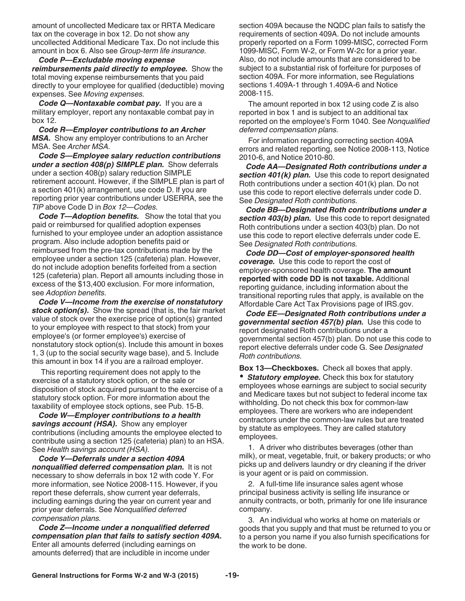<span id="page-18-0"></span>amount of uncollected Medicare tax or RRTA Medicare tax on the coverage in box 12. Do not show any uncollected Additional Medicare Tax. Do not include this amount in box 6. Also see *Group-term life insurance.* 

*Code P—Excludable moving expense reimbursements paid directly to employee.* Show the total moving expense reimbursements that you paid directly to your employee for qualified (deductible) moving expenses. See *Moving expenses.* 

*Code Q—Nontaxable combat pay.* If you are a military employer, report any nontaxable combat pay in box 12.

*Code R—Employer contributions to an Archer MSA.* Show any employer contributions to an Archer MSA. See *Archer MSA.* 

*Code S—Employee salary reduction contributions under a section 408(p) SIMPLE plan.* Show deferrals under a section 408(p) salary reduction SIMPLE retirement account. However, if the SIMPLE plan is part of a section 401(k) arrangement, use code D. If you are reporting prior year contributions under USERRA, see the *TIP* above Code D in *Box 12—Codes.*

*Code T—Adoption benefits.* Show the total that you paid or reimbursed for qualified adoption expenses furnished to your employee under an adoption assistance program. Also include adoption benefits paid or reimbursed from the pre-tax contributions made by the employee under a section 125 (cafeteria) plan. However, do not include adoption benefits forfeited from a section 125 (cafeteria) plan. Report all amounts including those in excess of the \$13,400 exclusion. For more information, see *Adoption benefits.*

*Code V—Income from the exercise of nonstatutory stock option(s).* Show the spread (that is, the fair market value of stock over the exercise price of option(s) granted to your employee with respect to that stock) from your employee's (or former employee's) exercise of nonstatutory stock option(s). Include this amount in boxes 1, 3 (up to the social security wage base), and 5. Include this amount in box 14 if you are a railroad employer.

This reporting requirement does not apply to the exercise of a statutory stock option, or the sale or disposition of stock acquired pursuant to the exercise of a statutory stock option. For more information about the taxability of employee stock options, see Pub. 15-B.

*Code W—Employer contributions to a health savings account (HSA).* Show any employer contributions (including amounts the employee elected to contribute using a section 125 (cafeteria) plan) to an HSA. See *Health savings account (HSA).*

*Code Y—Deferrals under a section 409A nonqualified deferred compensation plan.* It is not necessary to show deferrals in box 12 with code Y. For more information, see Notice 2008-115. However, if you report these deferrals, show current year deferrals, including earnings during the year on current year and prior year deferrals. See *Nonqualified deferred compensation plans.*

*Code Z—Income under a nonqualified deferred compensation plan that fails to satisfy section 409A.* Enter all amounts deferred (including earnings on amounts deferred) that are includible in income under

section 409A because the NQDC plan fails to satisfy the requirements of section 409A. Do not include amounts properly reported on a Form 1099-MISC, corrected Form 1099-MISC, Form W-2, or Form W-2c for a prior year. Also, do not include amounts that are considered to be subject to a substantial risk of forfeiture for purposes of section 409A. For more information, see Regulations sections 1.409A-1 through 1.409A-6 and Notice 2008-115.

The amount reported in box 12 using code Z is also reported in box 1 and is subject to an additional tax reported on the employee's Form 1040. See *Nonqualified deferred compensation plans.* 

For information regarding correcting section 409A errors and related reporting, see Notice 2008-113, Notice 2010-6, and Notice 2010-80.

*Code AA—Designated Roth contributions under a section 401(k) plan.* Use this code to report designated Roth contributions under a section 401(k) plan. Do not use this code to report elective deferrals under code D. See *Designated Roth contributions.*

*Code BB—Designated Roth contributions under a section 403(b) plan.* Use this code to report designated Roth contributions under a section 403(b) plan. Do not use this code to report elective deferrals under code E. See *Designated Roth contributions.*

*Code DD—Cost of employer-sponsored health coverage.* Use this code to report the cost of employer-sponsored health coverage. **The amount reported with code DD is not taxable.** Additional reporting guidance, including information about the transitional reporting rules that apply, is available on the Affordable Care Act Tax Provisions page of IRS.gov.

*Code EE—Designated Roth contributions under a governmental section 457(b) plan.* Use this code to report designated Roth contributions under a governmental section 457(b) plan. Do not use this code to report elective deferrals under code G. See *Designated Roth contributions.*

**Box 13—Checkboxes.** Check all boxes that apply. *Statutory employee.* Check this box for statutory employees whose earnings are subject to social security and Medicare taxes but not subject to federal income tax withholding. Do not check this box for common-law employees. There are workers who are independent contractors under the common-law rules but are treated by statute as employees. They are called statutory employees.

1. A driver who distributes beverages (other than milk), or meat, vegetable, fruit, or bakery products; or who picks up and delivers laundry or dry cleaning if the driver is your agent or is paid on commission.

2. A full-time life insurance sales agent whose principal business activity is selling life insurance or annuity contracts, or both, primarily for one life insurance company.

3. An individual who works at home on materials or goods that you supply and that must be returned to you or to a person you name if you also furnish specifications for the work to be done.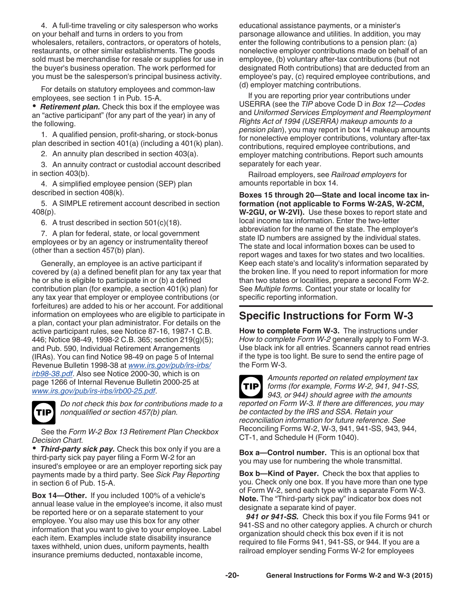<span id="page-19-0"></span>4. A full-time traveling or city salesperson who works on your behalf and turns in orders to you from wholesalers, retailers, contractors, or operators of hotels, restaurants, or other similar establishments. The goods sold must be merchandise for resale or supplies for use in the buyer's business operation. The work performed for you must be the salesperson's principal business activity.

For details on statutory employees and common-law employees, see section 1 in Pub. 15-A.

*Retirement plan.* Check this box if the employee was an "active participant" (for any part of the year) in any of the following.

1. A qualified pension, profit-sharing, or stock-bonus plan described in section 401(a) (including a 401(k) plan).

2. An annuity plan described in section 403(a).

3. An annuity contract or custodial account described in section 403(b).

4. A simplified employee pension (SEP) plan described in section 408(k).

5. A SIMPLE retirement account described in section 408(p).

6. A trust described in section 501(c)(18).

7. A plan for federal, state, or local government employees or by an agency or instrumentality thereof (other than a section 457(b) plan).

Generally, an employee is an active participant if covered by (a) a defined benefit plan for any tax year that he or she is eligible to participate in or (b) a defined contribution plan (for example, a section 401(k) plan) for any tax year that employer or employee contributions (or forfeitures) are added to his or her account. For additional information on employees who are eligible to participate in a plan, contact your plan administrator. For details on the active participant rules, see Notice 87-16, 1987-1 C.B. 446; Notice 98-49, 1998-2 C.B. 365; section 219(g)(5); and Pub. 590, Individual Retirement Arrangements (IRAs). You can find Notice 98-49 on page 5 of Internal Revenue Bulletin 1998-38 at *[www.irs.gov/pub/irs-irbs/](http://www.irs.gov/pub/irs-irbs/irb98-38.pdf) [irb98-38.pdf](http://www.irs.gov/pub/irs-irbs/irb98-38.pdf)*. Also see Notice 2000-30, which is on page 1266 of Internal Revenue Bulletin 2000-25 at *[www.irs.gov/pub/irs-irbs/irb00-25.pdf](http://www.irs.gov/pub/irs-irbs/irb00-25.pdf)*.

**TIP**

*Do not check this box for contributions made to a nonqualified or section 457(b) plan.*

See the *Form W-2 Box 13 Retirement Plan Checkbox Decision Chart.*

*Third-party sick pay.* Check this box only if you are a third-party sick pay payer filing a Form W-2 for an insured's employee or are an employer reporting sick pay payments made by a third party. See *Sick Pay Reporting*  in section 6 of Pub. 15-A.

**Box 14—Other.** If you included 100% of a vehicle's annual lease value in the employee's income, it also must be reported here or on a separate statement to your employee. You also may use this box for any other information that you want to give to your employee. Label each item. Examples include state disability insurance taxes withheld, union dues, uniform payments, health insurance premiums deducted, nontaxable income,

educational assistance payments, or a minister's parsonage allowance and utilities. In addition, you may enter the following contributions to a pension plan: (a) nonelective employer contributions made on behalf of an employee, (b) voluntary after-tax contributions (but not designated Roth contributions) that are deducted from an employee's pay, (c) required employee contributions, and (d) employer matching contributions.

If you are reporting prior year contributions under USERRA (see the *TIP* above Code D in *Box 12—Codes*  and *Uniformed Services Employment and Reemployment Rights Act of 1994 (USERRA) makeup amounts to a pension plan*), you may report in box 14 makeup amounts for nonelective employer contributions, voluntary after-tax contributions, required employee contributions, and employer matching contributions. Report such amounts separately for each year.

Railroad employers, see *Railroad employers* for amounts reportable in box 14.

**Boxes 15 through 20—State and local income tax information (not applicable to Forms W-2AS, W-2CM, W-2GU, or W-2VI).** Use these boxes to report state and local income tax information. Enter the two-letter abbreviation for the name of the state. The employer's state ID numbers are assigned by the individual states. The state and local information boxes can be used to report wages and taxes for two states and two localities. Keep each state's and locality's information separated by the broken line. If you need to report information for more than two states or localities, prepare a second Form W-2. See *Multiple forms.* Contact your state or locality for specific reporting information.

## **Specific Instructions for Form W-3**

**How to complete Form W-3.** The instructions under *How to complete Form W-2* generally apply to Form W-3. Use black ink for all entries. Scanners cannot read entries if the type is too light. Be sure to send the entire page of the Form W-3.



*Amounts reported on related employment tax forms (for example, Forms W-2, 941, 941-SS, 943, or 944) should agree with the amounts reported on Form W-3. If there are differences, you may be contacted by the IRS and SSA. Retain your reconciliation information for future reference. See*  Reconciling Forms W-2, W-3, 941, 941-SS, 943, 944, CT-1, and Schedule H (Form 1040).

**Box a—Control number.** This is an optional box that you may use for numbering the whole transmittal.

**Box b—Kind of Payer.** Check the box that applies to you. Check only one box. If you have more than one type of Form W-2, send each type with a separate Form W-3. **Note.** The "Third-party sick pay" indicator box does not designate a separate kind of payer.

*941 or 941-SS.* Check this box if you file Forms 941 or 941-SS and no other category applies. A church or church organization should check this box even if it is not required to file Forms 941, 941-SS, or 944. If you are a railroad employer sending Forms W-2 for employees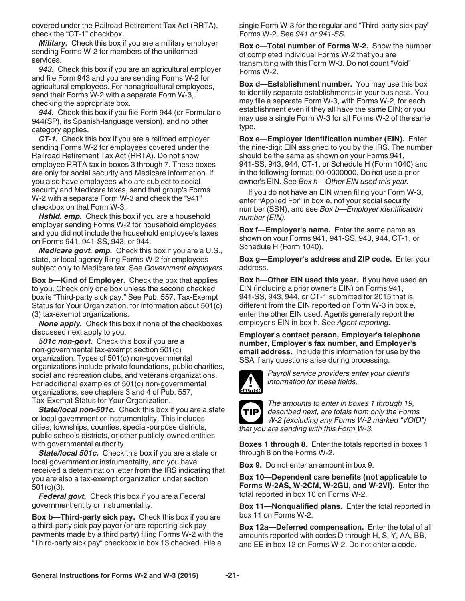<span id="page-20-0"></span>covered under the Railroad Retirement Tax Act (RRTA), check the "CT-1" checkbox.

*Military.* Check this box if you are a military employer sending Forms W-2 for members of the uniformed services.

*943.* Check this box if you are an agricultural employer and file Form 943 and you are sending Forms W-2 for agricultural employees. For nonagricultural employees, send their Forms W-2 with a separate Form W-3, checking the appropriate box.

*944.* Check this box if you file Form 944 (or Formulario 944(SP), its Spanish-language version), and no other category applies.

*CT-1.* Check this box if you are a railroad employer sending Forms W-2 for employees covered under the Railroad Retirement Tax Act (RRTA). Do not show employee RRTA tax in boxes 3 through 7. These boxes are only for social security and Medicare information. If you also have employees who are subject to social security and Medicare taxes, send that group's Forms W-2 with a separate Form W-3 and check the "941" checkbox on that Form W-3.

*Hshld. emp.* Check this box if you are a household employer sending Forms W-2 for household employees and you did not include the household employee's taxes on Forms 941, 941-SS, 943, or 944.

*Medicare govt. emp.* Check this box if you are a U.S., state, or local agency filing Forms W-2 for employees subject only to Medicare tax. See *Government employers.*

**Box b—Kind of Employer.** Check the box that applies to you. Check only one box unless the second checked box is "Third-party sick pay." See Pub. 557, Tax-Exempt Status for Your Organization, for information about 501(c) (3) tax-exempt organizations.

*None apply.* Check this box if none of the checkboxes discussed next apply to you.

*501c non-govt.* Check this box if you are a non-governmental tax-exempt section 501(c) organization. Types of 501(c) non-governmental organizations include private foundations, public charities, social and recreation clubs, and veterans organizations. For additional examples of 501(c) non-governmental organizations, see chapters 3 and 4 of Pub. 557, Tax-Exempt Status for Your Organization.

*State/local non-501c.* Check this box if you are a state or local government or instrumentality. This includes cities, townships, counties, special-purpose districts, public schools districts, or other publicly-owned entities with governmental authority.

*State/local 501c.* Check this box if you are a state or local government or instrumentality, and you have received a determination letter from the IRS indicating that you are also a tax-exempt organization under section 501(c)(3).

*Federal govt.* Check this box if you are a Federal government entity or instrumentality.

**Box b—Third-party sick pay.** Check this box if you are a third-party sick pay payer (or are reporting sick pay payments made by a third party) filing Forms W-2 with the "Third-party sick pay" checkbox in box 13 checked. File a

single Form W-3 for the regular and "Third-party sick pay" Forms W-2. See *941 or 941-SS.*

**Box c—Total number of Forms W-2.** Show the number of completed individual Forms W-2 that you are transmitting with this Form W-3. Do not count "Void" Forms W-2.

**Box d—Establishment number.** You may use this box to identify separate establishments in your business. You may file a separate Form W-3, with Forms W-2, for each establishment even if they all have the same EIN; or you may use a single Form W-3 for all Forms W-2 of the same type.

**Box e—Employer identification number (EIN).** Enter the nine-digit EIN assigned to you by the IRS. The number should be the same as shown on your Forms 941, 941-SS, 943, 944, CT-1, or Schedule H (Form 1040) and in the following format: 00-0000000. Do not use a prior owner's EIN. See *Box h—Other EIN used this year.*

If you do not have an EIN when filing your Form W-3, enter "Applied For" in box e, not your social security number (SSN), and see *Box b—Employer identification number (EIN).*

**Box f—Employer's name.** Enter the same name as shown on your Forms 941, 941-SS, 943, 944, CT-1, or Schedule H (Form 1040).

**Box g—Employer's address and ZIP code.** Enter your address.

**Box h—Other EIN used this year.** If you have used an EIN (including a prior owner's EIN) on Forms 941, 941-SS, 943, 944, or CT-1 submitted for 2015 that is different from the EIN reported on Form W-3 in box e, enter the other EIN used. Agents generally report the employer's EIN in box h. See *Agent reporting.* 

**Employer's contact person, Employer's telephone number, Employer's fax number, and Employer's email address.** Include this information for use by the SSA if any questions arise during processing.



*Payroll service providers enter your client's information for these fields.*



*The amounts to enter in boxes 1 through 19, described next, are totals from only the Forms W-2 (excluding any Forms W-2 marked "VOID") that you are sending with this Form W-3.*

**Boxes 1 through 8.** Enter the totals reported in boxes 1 through 8 on the Forms W-2.

**Box 9.** Do not enter an amount in box 9.

**Box 10—Dependent care benefits (not applicable to Forms W-2AS, W-2CM, W-2GU, and W-2VI).** Enter the total reported in box 10 on Forms W-2.

**Box 11—Nonqualified plans.** Enter the total reported in box 11 on Forms W-2.

**Box 12a—Deferred compensation.** Enter the total of all amounts reported with codes D through H, S, Y, AA, BB, and EE in box 12 on Forms W-2. Do not enter a code.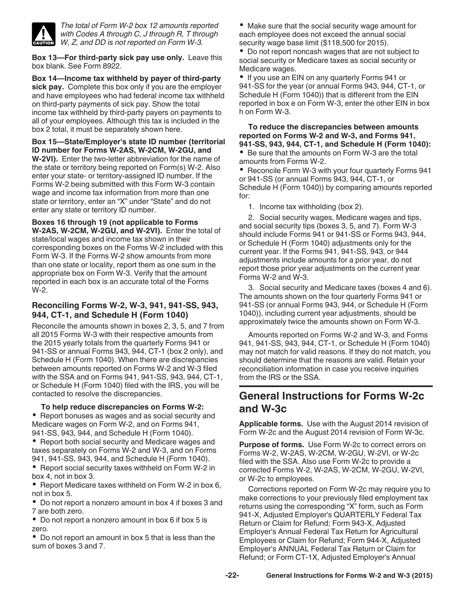<span id="page-21-0"></span>

*The total of Form W-2 box 12 amounts reported with Codes A through C, J through R, T through W, Z, and DD is not reported on Form W-3.*

**Box 13—For third-party sick pay use only.** Leave this box blank. See Form 8922.

**Box 14—Income tax withheld by payer of third-party sick pay.** Complete this box only if you are the employer and have employees who had federal income tax withheld on third-party payments of sick pay. Show the total income tax withheld by third-party payers on payments to all of your employees. Although this tax is included in the box 2 total, it must be separately shown here.

**Box 15—State/Employer's state ID number (territorial ID number for Forms W-2AS, W-2CM, W-2GU, and** 

**W-2VI).** Enter the two-letter abbreviation for the name of the state or territory being reported on Form(s) W-2. Also enter your state- or territory-assigned ID number. If the Forms W-2 being submitted with this Form W-3 contain wage and income tax information from more than one state or territory, enter an "X" under "State" and do not enter any state or territory ID number.

**Boxes 16 through 19 (not applicable to Forms** 

**W-2AS, W-2CM, W-2GU, and W-2VI).** Enter the total of state/local wages and income tax shown in their corresponding boxes on the Forms W-2 included with this Form W-3. If the Forms W-2 show amounts from more than one state or locality, report them as one sum in the appropriate box on Form W-3. Verify that the amount reported in each box is an accurate total of the Forms W-2.

#### **Reconciling Forms W-2, W-3, 941, 941-SS, 943, 944, CT-1, and Schedule H (Form 1040)**

Reconcile the amounts shown in boxes 2, 3, 5, and 7 from all 2015 Forms W-3 with their respective amounts from the 2015 yearly totals from the quarterly Forms 941 or 941-SS or annual Forms 943, 944, CT-1 (box 2 only), and Schedule H (Form 1040). When there are discrepancies between amounts reported on Forms W-2 and W-3 filed with the SSA and on Forms 941, 941-SS, 943, 944, CT-1, or Schedule H (Form 1040) filed with the IRS, you will be contacted to resolve the discrepancies.

#### **To help reduce discrepancies on Forms W-2:**

Report bonuses as wages and as social security and Medicare wages on Form W-2, and on Forms 941, 941-SS, 943, 944, and Schedule H (Form 1040).

• Report both social security and Medicare wages and taxes separately on Forms W-2 and W-3, and on Forms 941, 941-SS, 943, 944, and Schedule H (Form 1040).

• Report social security taxes withheld on Form W-2 in box 4, not in box 3.

• Report Medicare taxes withheld on Form W-2 in box 6, not in box 5.

Do not report a nonzero amount in box 4 if boxes 3 and 7 are both zero.

Do not report a nonzero amount in box 6 if box 5 is zero.

Do not report an amount in box 5 that is less than the sum of boxes 3 and 7.

Make sure that the social security wage amount for each employee does not exceed the annual social security wage base limit (\$118,500 for 2015).

• Do not report noncash wages that are not subject to social security or Medicare taxes as social security or Medicare wages.

• If you use an EIN on any quarterly Forms 941 or 941-SS for the year (or annual Forms 943, 944, CT-1, or Schedule H (Form 1040)) that is different from the EIN reported in box e on Form W-3, enter the other EIN in box h on Form W-3.

**To reduce the discrepancies between amounts reported on Forms W-2 and W-3, and Forms 941, 941-SS, 943, 944, CT-1, and Schedule H (Form 1040):**

• Be sure that the amounts on Form W-3 are the total amounts from Forms W-2.

• Reconcile Form W-3 with your four quarterly Forms 941 or 941-SS (or annual Forms 943, 944, CT-1, or Schedule H (Form 1040)) by comparing amounts reported for:

1. Income tax withholding (box 2).

2. Social security wages, Medicare wages and tips, and social security tips (boxes 3, 5, and 7). Form W-3 should include Forms 941 or 941-SS or Forms 943, 944, or Schedule H (Form 1040) adjustments only for the current year. If the Forms 941, 941-SS, 943, or 944 adjustments include amounts for a prior year, do not report those prior year adjustments on the current year Forms W-2 and W-3.

3. Social security and Medicare taxes (boxes 4 and 6). The amounts shown on the four quarterly Forms 941 or 941-SS (or annual Forms 943, 944, or Schedule H (Form 1040)), including current year adjustments, should be approximately twice the amounts shown on Form W-3.

Amounts reported on Forms W-2 and W-3, and Forms 941, 941-SS, 943, 944, CT-1, or Schedule H (Form 1040) may not match for valid reasons. If they do not match, you should determine that the reasons are valid. Retain your reconciliation information in case you receive inquiries from the IRS or the SSA.

## **General Instructions for Forms W-2c and W-3c**

**Applicable forms.** Use with the August 2014 revision of Form W-2c and the August 2014 revision of Form W-3c.

**Purpose of forms.** Use Form W-2c to correct errors on Forms W-2, W-2AS, W-2CM, W-2GU, W-2VI, or W-2c filed with the SSA. Also use Form W-2c to provide a corrected Forms W-2, W-2AS, W-2CM, W-2GU, W-2VI, or W-2c to employees.

Corrections reported on Form W-2c may require you to make corrections to your previously filed employment tax returns using the corresponding "X" form, such as Form 941-X, Adjusted Employer's QUARTERLY Federal Tax Return or Claim for Refund; Form 943-X, Adjusted Employer's Annual Federal Tax Return for Agricultural Employees or Claim for Refund; Form 944-X, Adjusted Employer's ANNUAL Federal Tax Return or Claim for Refund; or Form CT-1X, Adjusted Employer's Annual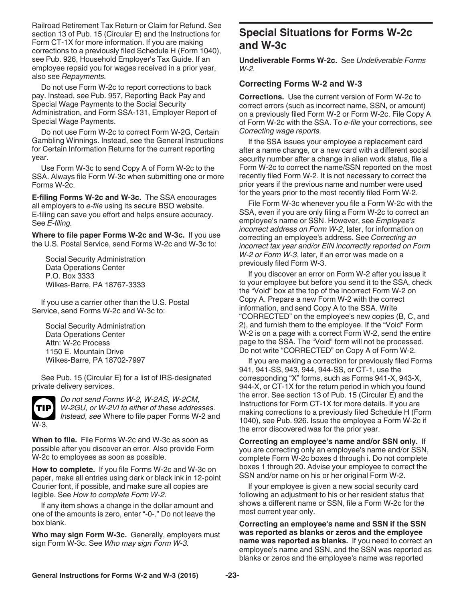<span id="page-22-0"></span>Railroad Retirement Tax Return or Claim for Refund. See section 13 of Pub. 15 (Circular E) and the Instructions for Form CT-1X for more information. If you are making corrections to a previously filed Schedule H (Form 1040), see Pub. 926, Household Employer's Tax Guide. If an employee repaid you for wages received in a prior year, also see *Repayments.*

Do not use Form W-2c to report corrections to back pay. Instead, see Pub. 957, Reporting Back Pay and Special Wage Payments to the Social Security Administration, and Form SSA-131, Employer Report of Special Wage Payments.

Do not use Form W-2c to correct Form W-2G, Certain Gambling Winnings. Instead, see the General Instructions for Certain Information Returns for the current reporting year.

Use Form W-3c to send Copy A of Form W-2c to the SSA. Always file Form W-3c when submitting one or more Forms W-2c.

**E-filing Forms W-2c and W-3c.** The SSA encourages all employers to *e-file* using its secure BSO website. E-filing can save you effort and helps ensure accuracy. See *E-filing.*

**Where to file paper Forms W-2c and W-3c.** If you use the U.S. Postal Service, send Forms W-2c and W-3c to:

Social Security Administration Data Operations Center P.O. Box 3333 Wilkes-Barre, PA 18767-3333

If you use a carrier other than the U.S. Postal Service, send Forms W-2c and W-3c to:

Social Security Administration Data Operations Center Attn: W-2c Process 1150 E. Mountain Drive Wilkes-Barre, PA 18702-7997

See Pub. 15 (Circular E) for a list of IRS-designated private delivery services.



*Do not send Forms W-2, W-2AS, W-2CM, W-2GU, or W-2VI to either of these addresses. Instead, see* Where to file paper Forms W-2 and

**When to file.** File Forms W-2c and W-3c as soon as possible after you discover an error. Also provide Form W-2c to employees as soon as possible.

**How to complete.** If you file Forms W-2c and W-3c on paper, make all entries using dark or black ink in 12-point Courier font, if possible, and make sure all copies are legible. See *How to complete Form W-2.*

If any item shows a change in the dollar amount and one of the amounts is zero, enter "-0-." Do not leave the box blank.

**Who may sign Form W-3c.** Generally, employers must sign Form W-3c. See *Who may sign Form W-3.*

## **Special Situations for Forms W-2c and W-3c**

**Undeliverable Forms W-2c.** See *Undeliverable Forms W-2.*

#### **Correcting Forms W-2 and W-3**

**Corrections.** Use the current version of Form W-2c to correct errors (such as incorrect name, SSN, or amount) on a previously filed Form W-2 or Form W-2c. File Copy A of Form W-2c with the SSA. To *e-file* your corrections, see *Correcting wage reports.* 

If the SSA issues your employee a replacement card after a name change, or a new card with a different social security number after a change in alien work status, file a Form W-2c to correct the name/SSN reported on the most recently filed Form W-2. It is not necessary to correct the prior years if the previous name and number were used for the years prior to the most recently filed Form W-2.

File Form W-3c whenever you file a Form W-2c with the SSA, even if you are only filing a Form W-2c to correct an employee's name or SSN. However, see *Employee's incorrect address on Form W-2*, later, for information on correcting an employee's address. See *Correcting an incorrect tax year and/or EIN incorrectly reported on Form W-2 or Form W-3*, later, if an error was made on a previously filed Form W-3.

If you discover an error on Form W-2 after you issue it to your employee but before you send it to the SSA, check the "Void" box at the top of the incorrect Form W-2 on Copy A. Prepare a new Form W-2 with the correct information, and send Copy A to the SSA. Write "CORRECTED" on the employee's new copies (B, C, and 2), and furnish them to the employee. If the "Void" Form W-2 is on a page with a correct Form W-2, send the entire page to the SSA. The "Void" form will not be processed. Do not write "CORRECTED" on Copy A of Form W-2.

If you are making a correction for previously filed Forms 941, 941-SS, 943, 944, 944-SS, or CT-1, use the corresponding "X" forms, such as Forms 941-X, 943-X, 944-X, or CT-1X for the return period in which you found the error. See section 13 of Pub. 15 (Circular E) and the Instructions for Form CT-1X for more details. If you are making corrections to a previously filed Schedule H (Form 1040), see Pub. 926. Issue the employee a Form W-2c if the error discovered was for the prior year.

**Correcting an employee's name and/or SSN only.** If you are correcting only an employee's name and/or SSN, complete Form W-2c boxes d through i. Do not complete boxes 1 through 20. Advise your employee to correct the SSN and/or name on his or her original Form W-2.

If your employee is given a new social security card following an adjustment to his or her resident status that shows a different name or SSN, file a Form W-2c for the most current year only.

**Correcting an employee's name and SSN if the SSN was reported as blanks or zeros and the employee name was reported as blanks.** If you need to correct an employee's name and SSN, and the SSN was reported as blanks or zeros and the employee's name was reported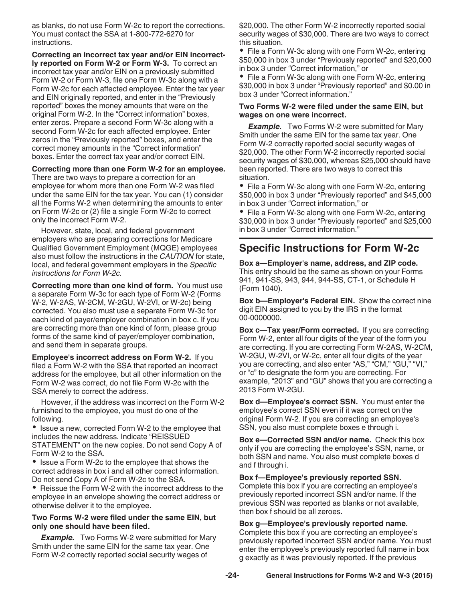<span id="page-23-0"></span>as blanks, do not use Form W-2c to report the corrections. You must contact the SSA at 1-800-772-6270 for instructions.

**Correcting an incorrect tax year and/or EIN incorrectly reported on Form W-2 or Form W-3.** To correct an incorrect tax year and/or EIN on a previously submitted Form W-2 or Form W-3, file one Form W-3c along with a Form W-2c for each affected employee. Enter the tax year and EIN originally reported, and enter in the "Previously reported" boxes the money amounts that were on the original Form W-2. In the "Correct information" boxes, enter zeros. Prepare a second Form W-3c along with a second Form W-2c for each affected employee. Enter zeros in the "Previously reported" boxes, and enter the correct money amounts in the "Correct information" boxes. Enter the correct tax year and/or correct EIN.

#### **Correcting more than one Form W-2 for an employee.**

There are two ways to prepare a correction for an employee for whom more than one Form W-2 was filed under the same EIN for the tax year. You can (1) consider all the Forms W-2 when determining the amounts to enter on Form W-2c or (2) file a single Form W-2c to correct only the incorrect Form W-2.

However, state, local, and federal government employers who are preparing corrections for Medicare Qualified Government Employment (MQGE) employees also must follow the instructions in the *CAUTION* for state, local, and federal government employers in the *Specific instructions for Form W-2c.*

**Correcting more than one kind of form.** You must use a separate Form W-3c for each type of Form W-2 (Forms W-2, W-2AS, W-2CM, W-2GU, W-2VI, or W-2c) being corrected. You also must use a separate Form W-3c for each kind of payer/employer combination in box c. If you are correcting more than one kind of form, please group forms of the same kind of payer/employer combination, and send them in separate groups.

**Employee's incorrect address on Form W-2.** If you filed a Form W-2 with the SSA that reported an incorrect address for the employee, but all other information on the Form W-2 was correct, do not file Form W-2c with the SSA merely to correct the address.

However, if the address was incorrect on the Form W-2 furnished to the employee, you must do one of the following.

• Issue a new, corrected Form W-2 to the employee that includes the new address. Indicate "REISSUED STATEMENT" on the new copies. Do not send Copy A of Form W-2 to the SSA.

• Issue a Form W-2c to the employee that shows the correct address in box i and all other correct information. Do not send Copy A of Form W-2c to the SSA.

• Reissue the Form W-2 with the incorrect address to the employee in an envelope showing the correct address or otherwise deliver it to the employee.

#### **Two Forms W-2 were filed under the same EIN, but only one should have been filed.**

**Example.** Two Forms W-2 were submitted for Mary Smith under the same EIN for the same tax year. One Form W-2 correctly reported social security wages of

\$20,000. The other Form W-2 incorrectly reported social security wages of \$30,000. There are two ways to correct this situation.

• File a Form W-3c along with one Form W-2c, entering \$50,000 in box 3 under "Previously reported" and \$20,000 in box 3 under "Correct information," or

• File a Form W-3c along with one Form W-2c, entering \$30,000 in box 3 under "Previously reported" and \$0.00 in box 3 under "Correct information."

#### **Two Forms W-2 were filed under the same EIN, but wages on one were incorrect.**

**Example.** Two Forms W-2 were submitted for Mary Smith under the same EIN for the same tax year. One Form W-2 correctly reported social security wages of \$20,000. The other Form W-2 incorrectly reported social security wages of \$30,000, whereas \$25,000 should have been reported. There are two ways to correct this situation.

• File a Form W-3c along with one Form W-2c, entering \$50,000 in box 3 under "Previously reported" and \$45,000 in box 3 under "Correct information," or

File a Form W-3c along with one Form W-2c, entering \$30,000 in box 3 under "Previously reported" and \$25,000 in box 3 under "Correct information."

## **Specific Instructions for Form W-2c**

**Box a—Employer's name, address, and ZIP code.**  This entry should be the same as shown on your Forms 941, 941-SS, 943, 944, 944-SS, CT-1, or Schedule H (Form 1040).

**Box b—Employer's Federal EIN.** Show the correct nine digit EIN assigned to you by the IRS in the format 00-00000000.

**Box c—Tax year/Form corrected.** If you are correcting Form W-2, enter all four digits of the year of the form you are correcting. If you are correcting Form W-2AS, W-2CM, W-2GU, W-2VI, or W-2c, enter all four digits of the year<br>you are correcting, and also enter "AS." "CM." "GU." "VI." you are correcting, and also enter "AS," "CM," "GU," or "c" to designate the form you are correcting. For example, "2013" and "GU" shows that you are correcting a 2013 Form W-2GU.

**Box d—Employee's correct SSN.** You must enter the employee's correct SSN even if it was correct on the original Form W-2. If you are correcting an employee's SSN, you also must complete boxes e through i.

**Box e—Corrected SSN and/or name.** Check this box only if you are correcting the employee's SSN, name, or both SSN and name. You also must complete boxes d and f through i.

#### **Box f—Employee's previously reported SSN.**

Complete this box if you are correcting an employee's previously reported incorrect SSN and/or name. If the previous SSN was reported as blanks or not available, then box f should be all zeroes.

#### **Box g—Employee's previously reported name.**

Complete this box if you are correcting an employee's previously reported incorrect SSN and/or name. You must enter the employee's previously reported full name in box g exactly as it was previously reported. If the previous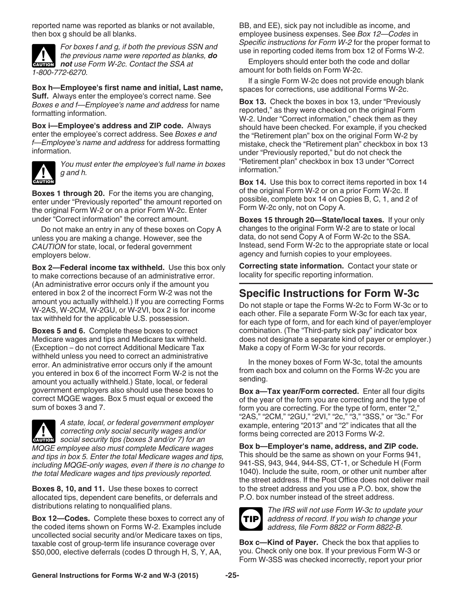<span id="page-24-0"></span>reported name was reported as blanks or not available, then box g should be all blanks.



*For boxes f and g, if both the previous SSN and the previous name were reported as blanks, do*  **h** the previous name were reported as blance not use Form W-2c. Contact the SSA at *1-800-772-6270.*

**Box h—Employee's first name and initial, Last name, Suff.** Always enter the employee's correct name. See *Boxes e and f—Employee's name and address* for name formatting information.

**Box i—Employee's address and ZIP code.** Always enter the employee's correct address. See *Boxes e and f—Employee's name and address* for address formatting information.



*You must enter the employee's full name in boxes g and h.*

**Boxes 1 through 20.** For the items you are changing, enter under "Previously reported" the amount reported on the original Form W-2 or on a prior Form W-2c. Enter under "Correct information" the correct amount.

Do not make an entry in any of these boxes on Copy A unless you are making a change. However, see the *CAUTION* for state, local, or federal government employers below.

**Box 2—Federal income tax withheld.** Use this box only to make corrections because of an administrative error. (An administrative error occurs only if the amount you entered in box 2 of the incorrect Form W-2 was not the amount you actually withheld.) If you are correcting Forms W-2AS, W-2CM, W-2GU, or W-2VI, box 2 is for income tax withheld for the applicable U.S. possession.

**Boxes 5 and 6.** Complete these boxes to correct Medicare wages and tips and Medicare tax withheld. (Exception – do not correct Additional Medicare Tax withheld unless you need to correct an administrative error. An administrative error occurs only if the amount you entered in box 6 of the incorrect Form W-2 is not the amount you actually withheld.) State, local, or federal government employers also should use these boxes to correct MQGE wages. Box 5 must equal or exceed the sum of boxes 3 and 7.



*A state, local, or federal government employer correcting only social security wages and/or*  **correcting only social security wages and/or**<br> **CAUTION** Social security tips (boxes 3 and/or 7) for an *MQGE employee also must complete Medicare wages and tips in box 5. Enter the total Medicare wages and tips, including MQGE-only wages, even if there is no change to the total Medicare wages and tips previously reported.*

**Boxes 8, 10, and 11.** Use these boxes to correct allocated tips, dependent care benefits, or deferrals and distributions relating to nonqualified plans.

**Box 12—Codes.** Complete these boxes to correct any of the coded items shown on Forms W-2. Examples include uncollected social security and/or Medicare taxes on tips, taxable cost of group-term life insurance coverage over \$50,000, elective deferrals (codes D through H, S, Y, AA,

BB, and EE), sick pay not includible as income, and employee business expenses. See *Box 12—Codes* in *Specific instructions for Form W-2* for the proper format to use in reporting coded items from box 12 of Forms W-2.

Employers should enter both the code and dollar amount for both fields on Form W-2c.

If a single Form W-2c does not provide enough blank spaces for corrections, use additional Forms W-2c.

**Box 13.** Check the boxes in box 13, under "Previously reported," as they were checked on the original Form W-2. Under "Correct information," check them as they should have been checked. For example, if you checked the "Retirement plan" box on the original Form W-2 by mistake, check the "Retirement plan" checkbox in box 13 under "Previously reported," but do not check the "Retirement plan" checkbox in box 13 under "Correct information."

**Box 14.** Use this box to correct items reported in box 14 of the original Form W-2 or on a prior Form W-2c. If possible, complete box 14 on Copies B, C, 1, and 2 of Form W-2c only, not on Copy A.

**Boxes 15 through 20—State/local taxes.** If your only changes to the original Form W-2 are to state or local data, do not send Copy A of Form W-2c to the SSA. Instead, send Form W-2c to the appropriate state or local agency and furnish copies to your employees.

**Correcting state information.** Contact your state or locality for specific reporting information.

## **Specific Instructions for Form W-3c**

Do not staple or tape the Forms W-2c to Form W-3c or to each other. File a separate Form W-3c for each tax year, for each type of form, and for each kind of payer/employer combination. (The "Third-party sick pay" indicator box does not designate a separate kind of payer or employer.) Make a copy of Form W-3c for your records.

In the money boxes of Form W-3c, total the amounts from each box and column on the Forms W-2c you are sending.

**Box a—Tax year/Form corrected.** Enter all four digits of the year of the form you are correcting and the type of form you are correcting. For the type of form, enter "2," "2AS," "2CM," "2GU," "2VI," "2c," "3," "3SS," or "3c." For example, entering "2013" and "2" indicates that all the forms being corrected are 2013 Forms W-2.

**Box b—Employer's name, address, and ZIP code.**  This should be the same as shown on your Forms 941, 941-SS, 943, 944, 944-SS, CT-1, or Schedule H (Form 1040). Include the suite, room, or other unit number after the street address. If the Post Office does not deliver mail to the street address and you use a P.O. box, show the P.O. box number instead of the street address.



*The IRS will not use Form W-3c to update your address of record. If you wish to change your address, file Form 8822 or Form 8822-B.*

**Box c—Kind of Payer.** Check the box that applies to you. Check only one box. If your previous Form W-3 or Form W-3SS was checked incorrectly, report your prior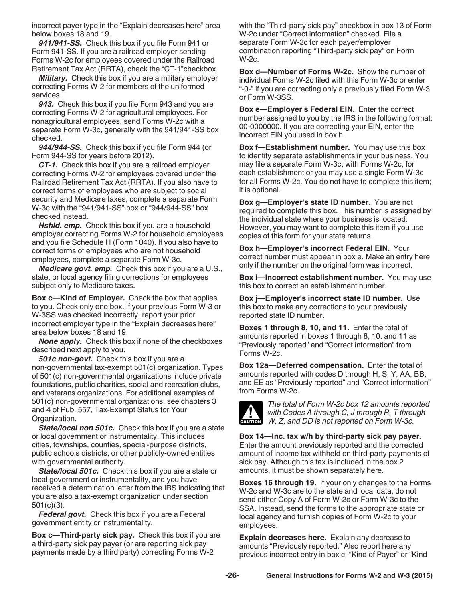<span id="page-25-0"></span>incorrect payer type in the "Explain decreases here" area below boxes 18 and 19.

*941/941-SS.* Check this box if you file Form 941 or Form 941-SS. If you are a railroad employer sending Forms W-2c for employees covered under the Railroad Retirement Tax Act (RRTA), check the "CT-1"checkbox.

*Military.* Check this box if you are a military employer correcting Forms W-2 for members of the uniformed services.

*943.* Check this box if you file Form 943 and you are correcting Forms W-2 for agricultural employees. For nonagricultural employees, send Forms W-2c with a separate Form W-3c, generally with the 941/941-SS box checked.

*944/944-SS.* Check this box if you file Form 944 (or Form 944-SS for years before 2012).

*CT-1.* Check this box if you are a railroad employer correcting Forms W-2 for employees covered under the Railroad Retirement Tax Act (RRTA). If you also have to correct forms of employees who are subject to social security and Medicare taxes, complete a separate Form W-3c with the "941/941-SS" box or "944/944-SS" box checked instead.

*Hshld. emp.* Check this box if you are a household employer correcting Forms W-2 for household employees and you file Schedule H (Form 1040). If you also have to correct forms of employees who are not household employees, complete a separate Form W-3c.

*Medicare govt. emp.* Check this box if you are a U.S., state, or local agency filing corrections for employees subject only to Medicare taxes.

**Box c—Kind of Employer.** Check the box that applies to you. Check only one box. If your previous Form W-3 or W-3SS was checked incorrectly, report your prior incorrect employer type in the "Explain decreases here" area below boxes 18 and 19.

*None apply.* Check this box if none of the checkboxes described next apply to you.

*501c non-govt.* Check this box if you are a non-governmental tax-exempt 501(c) organization. Types of 501(c) non-governmental organizations include private foundations, public charities, social and recreation clubs, and veterans organizations. For additional examples of 501(c) non-governmental organizations, see chapters 3 and 4 of Pub. 557, Tax-Exempt Status for Your Organization.

*State/local non 501c.* Check this box if you are a state or local government or instrumentality. This includes cities, townships, counties, special-purpose districts, public schools districts, or other publicly-owned entities with governmental authority.

*State/local 501c.* Check this box if you are a state or local government or instrumentality, and you have received a determination letter from the IRS indicating that you are also a tax-exempt organization under section 501(c)(3).

*Federal govt.* Check this box if you are a Federal government entity or instrumentality.

**Box c—Third-party sick pay.** Check this box if you are a third-party sick pay payer (or are reporting sick pay payments made by a third party) correcting Forms W-2

with the "Third-party sick pay" checkbox in box 13 of Form W-2c under "Correct information" checked. File a separate Form W-3c for each payer/employer combination reporting "Third-party sick pay" on Form W-2c.

**Box d—Number of Forms W-2c.** Show the number of individual Forms W-2c filed with this Form W-3c or enter "-0-" if you are correcting only a previously filed Form W-3 or Form W-3SS.

**Box e—Employer's Federal EIN.** Enter the correct number assigned to you by the IRS in the following format: 00-0000000. If you are correcting your EIN, enter the incorrect EIN you used in box h.

**Box f—Establishment number.** You may use this box to identify separate establishments in your business. You may file a separate Form W-3c, with Forms W-2c, for each establishment or you may use a single Form W-3c for all Forms W-2c. You do not have to complete this item; it is optional.

**Box g—Employer's state ID number.** You are not required to complete this box. This number is assigned by the individual state where your business is located. However, you may want to complete this item if you use copies of this form for your state returns.

**Box h—Employer's incorrect Federal EIN.** Your correct number must appear in box e. Make an entry here only if the number on the original form was incorrect.

**Box i—Incorrect establishment number.** You may use this box to correct an establishment number.

**Box j—Employer's incorrect state ID number.** Use this box to make any corrections to your previously reported state ID number.

**Boxes 1 through 8, 10, and 11.** Enter the total of amounts reported in boxes 1 through 8, 10, and 11 as "Previously reported" and "Correct information" from Forms W-2c.

**Box 12a—Deferred compensation.** Enter the total of amounts reported with codes D through H, S, Y, AA, BB, and EE as "Previously reported" and "Correct information" from Forms W-2c.



*The total of Form W-2c box 12 amounts reported with Codes A through C, J through R, T through*  **CAUTION** With Codes A through C, J through R, T through W, Z, and DD is not reported on Form W-3c.

**Box 14—Inc. tax w/h by third-party sick pay payer.**  Enter the amount previously reported and the corrected amount of income tax withheld on third-party payments of sick pay. Although this tax is included in the box 2 amounts, it must be shown separately here.

**Boxes 16 through 19.** If your only changes to the Forms W-2c and W-3c are to the state and local data, do not send either Copy A of Form W-2c or Form W-3c to the SSA. Instead, send the forms to the appropriate state or local agency and furnish copies of Form W-2c to your employees.

**Explain decreases here.** Explain any decrease to amounts "Previously reported." Also report here any previous incorrect entry in box c, "Kind of Payer" or "Kind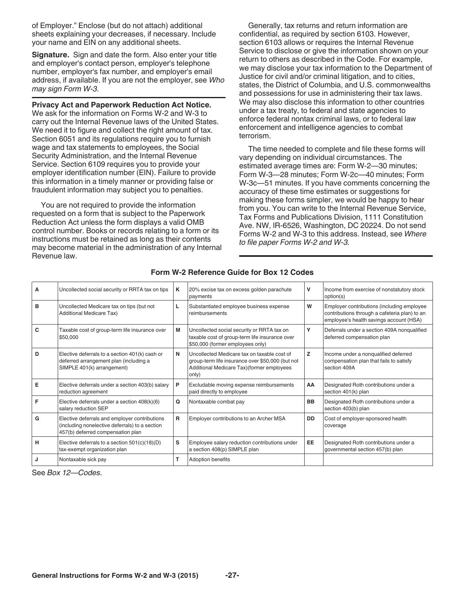<span id="page-26-0"></span>of Employer." Enclose (but do not attach) additional sheets explaining your decreases, if necessary. Include your name and EIN on any additional sheets.

**Signature.** Sign and date the form. Also enter your title and employer's contact person, employer's telephone number, employer's fax number, and employer's email address, if available. If you are not the employer, see *Who may sign Form W-3.*

#### **Privacy Act and Paperwork Reduction Act Notice.**

We ask for the information on Forms W-2 and W-3 to carry out the Internal Revenue laws of the United States. We need it to figure and collect the right amount of tax. Section 6051 and its regulations require you to furnish wage and tax statements to employees, the Social Security Administration, and the Internal Revenue Service. Section 6109 requires you to provide your employer identification number (EIN). Failure to provide this information in a timely manner or providing false or fraudulent information may subject you to penalties.

You are not required to provide the information requested on a form that is subject to the Paperwork Reduction Act unless the form displays a valid OMB control number. Books or records relating to a form or its instructions must be retained as long as their contents may become material in the administration of any Internal Revenue law.

Generally, tax returns and return information are confidential, as required by section 6103. However, section 6103 allows or requires the Internal Revenue Service to disclose or give the information shown on your return to others as described in the Code. For example, we may disclose your tax information to the Department of Justice for civil and/or criminal litigation, and to cities, states, the District of Columbia, and U.S. commonwealths and possessions for use in administering their tax laws. We may also disclose this information to other countries under a tax treaty, to federal and state agencies to enforce federal nontax criminal laws, or to federal law enforcement and intelligence agencies to combat terrorism.

The time needed to complete and file these forms will vary depending on individual circumstances. The estimated average times are: Form W-2—30 minutes; Form W-3—28 minutes; Form W-2c—40 minutes; Form W-3c—51 minutes. If you have comments concerning the accuracy of these time estimates or suggestions for making these forms simpler, we would be happy to hear from you. You can write to the Internal Revenue Service, Tax Forms and Publications Division, 1111 Constitution Ave. NW, IR-6526, Washington, DC 20224. Do not send Forms W-2 and W-3 to this address. Instead, see *Where to file paper Forms W-2 and W-3.*

| A | Uncollected social security or RRTA tax on tips                                                                                      | Κ | 20% excise tax on excess golden parachute<br>payments                                                                                                  | v         | Income from exercise of nonstatutory stock<br>option(s)                                                                                |
|---|--------------------------------------------------------------------------------------------------------------------------------------|---|--------------------------------------------------------------------------------------------------------------------------------------------------------|-----------|----------------------------------------------------------------------------------------------------------------------------------------|
| в | Uncollected Medicare tax on tips (but not<br><b>Additional Medicare Tax)</b>                                                         | L | Substantiated employee business expense<br>reimbursements                                                                                              | W         | Employer contributions (including employee<br>contributions through a cafeteria plan) to an<br>employee's health savings account (HSA) |
| C | Taxable cost of group-term life insurance over<br>\$50,000                                                                           | М | Uncollected social security or RRTA tax on<br>taxable cost of group-term life insurance over<br>\$50,000 (former employees only)                       | Y         | Deferrals under a section 409A nonqualified<br>deferred compensation plan                                                              |
| D | Elective deferrals to a section 401(k) cash or<br>deferred arrangement plan (including a<br>SIMPLE 401(k) arrangement)               | N | Uncollected Medicare tax on taxable cost of<br>group-term life insurance over \$50,000 (but not<br>Additional Medicare Tax) (former employees<br>only) | z         | Income under a nonqualified deferred<br>compensation plan that fails to satisfy<br>section 409A                                        |
| Е | Elective deferrals under a section 403(b) salary<br>reduction agreement                                                              | P | Excludable moving expense reimbursements<br>paid directly to employee                                                                                  | AA        | Designated Roth contributions under a<br>section 401(k) plan                                                                           |
| F | Elective deferrals under a section $408(k)(6)$<br>salary reduction SEP                                                               | Q | Nontaxable combat pay                                                                                                                                  | <b>BB</b> | Designated Roth contributions under a<br>section 403(b) plan                                                                           |
| G | Elective deferrals and employer contributions<br>(including nonelective deferrals) to a section<br>457(b) deferred compensation plan | R | Employer contributions to an Archer MSA                                                                                                                | <b>DD</b> | Cost of employer-sponsored health<br>coverage                                                                                          |
| H | Elective deferrals to a section $501(c)(18)(D)$<br>tax-exempt organization plan                                                      | s | Employee salary reduction contributions under<br>a section 408(p) SIMPLE plan                                                                          | EE        | Designated Roth contributions under a<br>governmental section 457(b) plan                                                              |
| J | Nontaxable sick pay                                                                                                                  |   | Adoption benefits                                                                                                                                      |           |                                                                                                                                        |

#### **Form W-2 Reference Guide for Box 12 Codes**

See *Box 12—Codes.*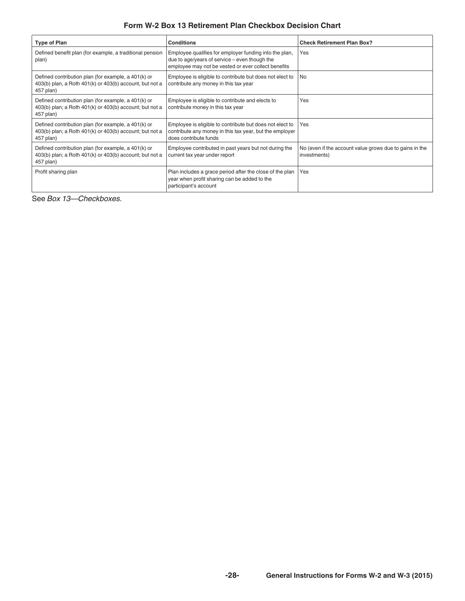#### **Form W-2 Box 13 Retirement Plan Checkbox Decision Chart**

<span id="page-27-0"></span>

| <b>Type of Plan</b>                                                                                                               | <b>Conditions</b>                                                                                                                                                | <b>Check Retirement Plan Box?</b>                                       |
|-----------------------------------------------------------------------------------------------------------------------------------|------------------------------------------------------------------------------------------------------------------------------------------------------------------|-------------------------------------------------------------------------|
| Defined benefit plan (for example, a traditional pension<br>plan)                                                                 | Employee qualifies for employer funding into the plan,<br>due to age/years of service $-$ even though the<br>employee may not be vested or ever collect benefits | Yes                                                                     |
| Defined contribution plan (for example, a 401(k) or<br>403(b) plan, a Roth 401(k) or 403(b) account, but not a<br>457 plan)       | Employee is eligible to contribute but does not elect to<br>contribute any money in this tax year                                                                | l No                                                                    |
| Defined contribution plan (for example, a 401(k) or<br>$403(b)$ plan; a Roth $401(k)$ or $403(b)$ account; but not a<br>457 plan) | Employee is eligible to contribute and elects to<br>contribute money in this tax year                                                                            | Yes                                                                     |
| Defined contribution plan (for example, a 401(k) or<br>$403(b)$ plan; a Roth $401(k)$ or $403(b)$ account; but not a<br>457 plan) | Employee is eligible to contribute but does not elect to<br>contribute any money in this tax year, but the employer<br>does contribute funds                     | Yes                                                                     |
| Defined contribution plan (for example, a 401(k) or<br>$403(b)$ plan; a Roth $401(k)$ or $403(b)$ account; but not a<br>457 plan) | Employee contributed in past years but not during the<br>current tax year under report                                                                           | No (even if the account value grows due to gains in the<br>investments) |
| Profit sharing plan                                                                                                               | Plan includes a grace period after the close of the plan<br>year when profit sharing can be added to the<br>participant's account                                | Yes                                                                     |

See *Box 13—Checkboxes.*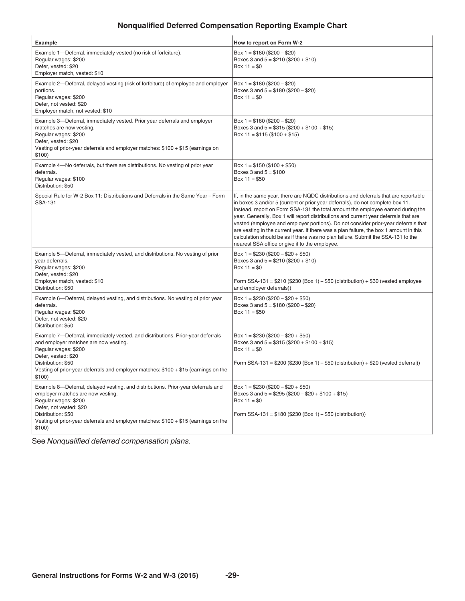#### **Nonqualified Deferred Compensation Reporting Example Chart**

<span id="page-28-0"></span>

| Example                                                                                                                                                                                                                                                                                         | How to report on Form W-2                                                                                                                                                                                                                                                                                                                                                                                                                                                                                                                                                                                                                                               |
|-------------------------------------------------------------------------------------------------------------------------------------------------------------------------------------------------------------------------------------------------------------------------------------------------|-------------------------------------------------------------------------------------------------------------------------------------------------------------------------------------------------------------------------------------------------------------------------------------------------------------------------------------------------------------------------------------------------------------------------------------------------------------------------------------------------------------------------------------------------------------------------------------------------------------------------------------------------------------------------|
| Example 1-Deferral, immediately vested (no risk of forfeiture).<br>Regular wages: \$200<br>Defer, vested: \$20<br>Employer match, vested: \$10                                                                                                                                                  | Box $1 = $180 ( $200 - $20)$<br>Boxes 3 and $5 = $210 ($200 + $10)$<br>Box $11 = $0$                                                                                                                                                                                                                                                                                                                                                                                                                                                                                                                                                                                    |
| Example 2-Deferral, delayed vesting (risk of forfeiture) of employee and employer<br>portions.<br>Regular wages: \$200<br>Defer, not vested: \$20<br>Employer match, not vested: \$10                                                                                                           | Box $1 = $180 ( $200 - $20)$<br>Boxes 3 and $5 = $180 ( $200 - $20)$<br>Box $11 = $0$                                                                                                                                                                                                                                                                                                                                                                                                                                                                                                                                                                                   |
| Example 3-Deferral, immediately vested. Prior year deferrals and employer<br>matches are now vesting.<br>Regular wages: \$200<br>Defer, vested: \$20<br>Vesting of prior-year deferrals and employer matches: $$100 + $15$ (earnings on<br>\$100)                                               | Box $1 = $180 ( $200 - $20)$<br>Boxes 3 and $5 = $315 ($200 + $100 + $15)$<br>Box 11 = $$115 ($100 + $15)$                                                                                                                                                                                                                                                                                                                                                                                                                                                                                                                                                              |
| Example 4-No deferrals, but there are distributions. No vesting of prior year<br>deferrals.<br>Regular wages: \$100<br>Distribution: \$50                                                                                                                                                       | Box $1 = $150 ( $100 + $50)$<br>Boxes 3 and $5 = $100$<br>Box $11 = $50$                                                                                                                                                                                                                                                                                                                                                                                                                                                                                                                                                                                                |
| Special Rule for W-2 Box 11: Distributions and Deferrals in the Same Year - Form<br>SSA-131                                                                                                                                                                                                     | If, in the same year, there are NQDC distributions and deferrals that are reportable<br>in boxes 3 and/or 5 (current or prior year deferrals), do not complete box 11.<br>Instead, report on Form SSA-131 the total amount the employee earned during the<br>year. Generally, Box 1 will report distributions and current year deferrals that are<br>vested (employee and employer portions). Do not consider prior-year deferrals that<br>are vesting in the current year. If there was a plan failure, the box 1 amount in this<br>calculation should be as if there was no plan failure. Submit the SSA-131 to the<br>nearest SSA office or give it to the employee. |
| Example 5—Deferral, immediately vested, and distributions. No vesting of prior<br>year deferrals.<br>Regular wages: \$200<br>Defer, vested: \$20<br>Employer match, vested: \$10                                                                                                                | Box $1 = $230 ( $200 - $20 + $50)$<br>Boxes 3 and $5 = $210 ($200 + $10)$<br>Box $11 = $0$<br>Form SSA-131 = \$210 (\$230 (Box 1) – \$50 (distribution) + \$30 (vested employee                                                                                                                                                                                                                                                                                                                                                                                                                                                                                         |
| Distribution: \$50<br>Example 6—Deferral, delayed vesting, and distributions. No vesting of prior year<br>deferrals.<br>Regular wages: \$200<br>Defer, not vested: \$20<br>Distribution: \$50                                                                                                   | and employer deferrals))<br>Box 1 = $$230 ($200 - $20 + $50)$<br>Boxes 3 and $5 = $180 ( $200 - $20)$<br>Box $11 = $50$                                                                                                                                                                                                                                                                                                                                                                                                                                                                                                                                                 |
| Example 7—Deferral, immediately vested, and distributions. Prior-year deferrals<br>and employer matches are now vesting.<br>Regular wages: \$200<br>Defer, vested: \$20<br>Distribution: \$50<br>Vesting of prior-year deferrals and employer matches: \$100 + \$15 (earnings on the<br>\$100)  | Box $1 = $230 ( $200 - $20 + $50)$<br>Boxes 3 and $5 = $315 ($200 + $100 + $15)$<br>Box $11 = $0$<br>Form SSA-131 = $$200$ (\$230 (Box 1) – \$50 (distribution) + \$20 (vested deferral))                                                                                                                                                                                                                                                                                                                                                                                                                                                                               |
| Example 8—Deferral, delayed vesting, and distributions. Prior-year deferrals and<br>employer matches are now vesting.<br>Regular wages: \$200<br>Defer, not vested: \$20<br>Distribution: \$50<br>Vesting of prior-year deferrals and employer matches: \$100 + \$15 (earnings on the<br>\$100) | Box $1 = $230 ( $200 - $20 + $50)$<br>Boxes 3 and $5 = $295 ($200 - $20 + $100 + $15)$<br>Box $11 = $0$<br>Form SSA-131 = \$180 (\$230 (Box 1) – \$50 (distribution))                                                                                                                                                                                                                                                                                                                                                                                                                                                                                                   |

See *Nonqualified deferred compensation plans.*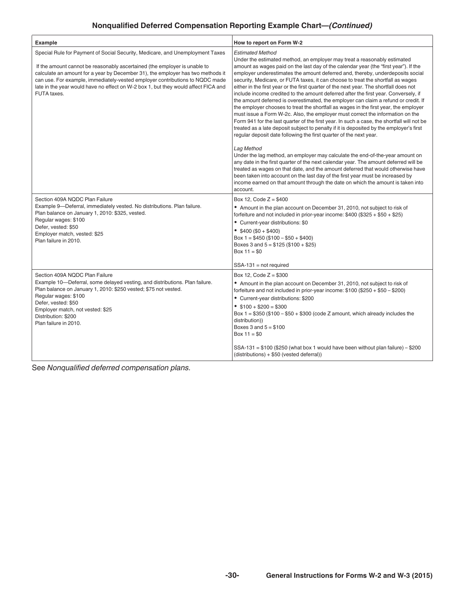### **Nonqualified Deferred Compensation Reporting Example Chart—***(Continued)*

| <b>Example</b>                                                                                                                                                                                                                                                                                                                                                                                                                     | How to report on Form W-2                                                                                                                                                                                                                                                                                                                                                                                                                                                                                                                                                                                                                                                                                                                                                                                                                                                                                                                                                                                                                                                          |
|------------------------------------------------------------------------------------------------------------------------------------------------------------------------------------------------------------------------------------------------------------------------------------------------------------------------------------------------------------------------------------------------------------------------------------|------------------------------------------------------------------------------------------------------------------------------------------------------------------------------------------------------------------------------------------------------------------------------------------------------------------------------------------------------------------------------------------------------------------------------------------------------------------------------------------------------------------------------------------------------------------------------------------------------------------------------------------------------------------------------------------------------------------------------------------------------------------------------------------------------------------------------------------------------------------------------------------------------------------------------------------------------------------------------------------------------------------------------------------------------------------------------------|
| Special Rule for Payment of Social Security, Medicare, and Unemployment Taxes<br>If the amount cannot be reasonably ascertained (the employer is unable to<br>calculate an amount for a year by December 31), the employer has two methods it<br>can use. For example, immediately-vested employer contributions to NQDC made<br>late in the year would have no effect on W-2 box 1, but they would affect FICA and<br>FUTA taxes. | <b>Estimated Method</b><br>Under the estimated method, an employer may treat a reasonably estimated<br>amount as wages paid on the last day of the calendar year (the "first year"). If the<br>employer underestimates the amount deferred and, thereby, underdeposits social<br>security, Medicare, or FUTA taxes, it can choose to treat the shortfall as wages<br>either in the first year or the first quarter of the next year. The shortfall does not<br>include income credited to the amount deferred after the first year. Conversely, if<br>the amount deferred is overestimated, the employer can claim a refund or credit. If<br>the employer chooses to treat the shortfall as wages in the first year, the employer<br>must issue a Form W-2c. Also, the employer must correct the information on the<br>Form 941 for the last quarter of the first year. In such a case, the shortfall will not be<br>treated as a late deposit subject to penalty if it is deposited by the employer's first<br>regular deposit date following the first quarter of the next year. |
|                                                                                                                                                                                                                                                                                                                                                                                                                                    | Lag Method<br>Under the lag method, an employer may calculate the end-of-the-year amount on<br>any date in the first quarter of the next calendar year. The amount deferred will be<br>treated as wages on that date, and the amount deferred that would otherwise have<br>been taken into account on the last day of the first year must be increased by<br>income earned on that amount through the date on which the amount is taken into<br>account.                                                                                                                                                                                                                                                                                                                                                                                                                                                                                                                                                                                                                           |
| Section 409A NQDC Plan Failure<br>Example 9-Deferral, immediately vested. No distributions. Plan failure.<br>Plan balance on January 1, 2010: \$325, vested.<br>Regular wages: \$100<br>Defer, vested: \$50<br>Employer match, vested: \$25<br>Plan failure in 2010.                                                                                                                                                               | Box 12, Code $Z = $400$<br>• Amount in the plan account on December 31, 2010, not subject to risk of<br>forfeiture and not included in prior-year income: $$400 ($325 + $50 + $25)$<br>• Current-year distributions: \$0<br>• $$400 ($0 + $400)$<br>Box $1 = $450 ($100 - $50 + $400)$<br>Boxes 3 and $5 = $125 ($100 + $25)$<br>Box $11 = $0$<br>$SSA-131 = not required$                                                                                                                                                                                                                                                                                                                                                                                                                                                                                                                                                                                                                                                                                                         |
| Section 409A NQDC Plan Failure<br>Example 10-Deferral, some delayed vesting, and distributions. Plan failure.<br>Plan balance on January 1, 2010: \$250 vested; \$75 not vested.<br>Regular wages: \$100<br>Defer, vested: \$50<br>Employer match, not vested: \$25<br>Distribution: \$200<br>Plan failure in 2010.                                                                                                                | Box 12. Code $Z = $300$<br>• Amount in the plan account on December 31, 2010, not subject to risk of<br>forfeiture and not included in prior-year income: $$100 ($250 + $50 - $200)$<br>• Current-year distributions: \$200<br>$$100 + $200 = $300$<br>Box $1 = $350 ($100 - $50 + $300 (code Z amount, which already includes the$<br>distribution))<br>Boxes $3$ and $5 = $100$<br>Box $11 = $0$<br>$SSA-131 = $100 ($250$) (what box 1 would have been without plan failure) - $200$<br>(distributions) + \$50 (vested deferral))                                                                                                                                                                                                                                                                                                                                                                                                                                                                                                                                               |

See *Nonqualified deferred compensation plans.*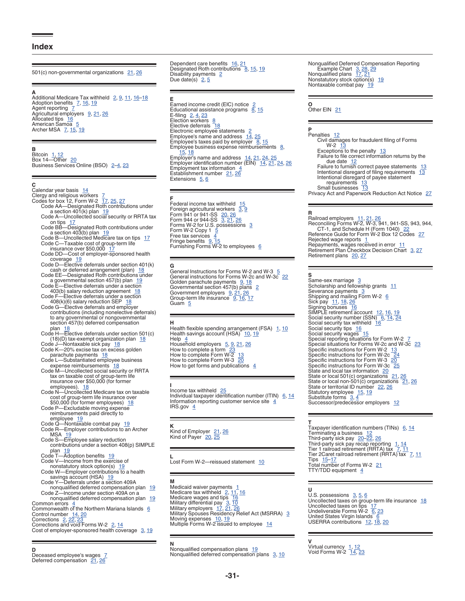#### <span id="page-30-0"></span>**Index**

501(c) non-governmental organizations  $21, 26$  $21, 26$ 

**A**<br>Additional Medicare Tax withheld [2](#page-1-0), <u>[9,](#page-8-0) [11](#page-10-0), [16–](#page-15-0)[18](#page-17-0)</u><br>Agent reporting <u>[7](#page-6-0)</u><br>Agent reporting 7 Agricultural employers [9,](#page-8-0) [21](#page-20-0), [26](#page-25-0)<br>Allocated tips [16](#page-15-0)<br>American Samoa [5](#page-4-0)<br>Archer MSA [7](#page-6-0), [15,](#page-14-0) [19](#page-18-0)

#### Bitcoin [1,](#page-0-0) [12](#page-11-0)<br>Box 14—Other [20](#page-19-0) Business Services Online (BSO) 2-[4](#page-3-0), [23](#page-22-0)

#### **C**

**B**

Calendar year basis [14](#page-13-0) Clergy and religious workers [7](#page-6-0)<br>Codes for box 12, Form W-2 [17,](#page-16-0) [25](#page-24-0), [27](#page-26-0) Code AA—Designated Roth contributions under<br>a section 401(k) plan [19](#page-18-0)<br>Code A—Uncollected social security or RRTA tax on tips [17](#page-16-0)<br>
Code BB—Designated Roth contributions under<br>
a section 403(b) plan [19](#page-18-0)<br>
Code B—Uncollected Medicare tax on tips 17<br>
Code C—Taxable cost of group-term life<br>
insurance over \$50,000 17 Code DD—Cost of employer-sponsored health coverage [19](#page-18-0) Code D—Elective deferrals under section 401(k) cash or deferred arrangement (plan) [18](#page-17-0)<br>Code EE—Designated Roth contributions under<br>a governmental section 457(b) plan [19](#page-18-0) Code E—Elective deferrals under a section<br>403(b) salary reduction agreement [18](#page-17-0)<br>Code F—Elective deferrals under a section 408(k)(6) salary reduction SEP [18](#page-17-0) Code G—Elective deferrals and employer contributions (including nonelective deferrals) to any governmental or nongovernmental<br>section 457(b) deferred compensation section 457(b) deferred compensation<br>plan  $18$ <br>Code H—Elective deferrals under section 501(c)<br>Code J—Nontax-axempt organization plan  $18$ <br>Code J—Nontaxable sick pay  $18$ <br>Code K—20% excise tax on excess golden<br>parachute pa expense reimbursements 18<br>Code M—Uncollected social security or RRTA tax on taxable cost of group-term life<br>insurance over \$50,000 (for former<br>employees).  $18$ <br>Code N—Uncollected Medicare tax on taxable<br>cost of group-term life insurance over<br>\$50,000 (for former employees)  $18$ <br>Code P—Exclu reimbursements paid directly to employee [19](#page-18-0)<br>Code Q—Nontaxable combat pay 19<br>Code R—Employer contributions to an Archer<br>MSA 19 Code S—Employee salary reduction contributions under a section 408(p) SIMPLE plan [19](#page-18-0)<br>Code T—Adoption benefits 19<br>Code V—Income from the exercise of nonstatutory stock option(s) [19](#page-18-0)<br>
Code W—Employer contributions to a health<br>
savings account (HSA) 19<br>
Code Y—Deferrals under a section 409A<br>
nonqualified deferred compensation plan<br>
Code Z—Income under section 409A on a nonqualified deferred compensation plan [19](#page-18-0) Common errors [4](#page-3-0)<br>Commonwealth of the Northern Mariana Islands [6](#page-5-0) Control number <u>[14,](#page-13-0) [20](#page-19-0)</u><br>Corrections [2,](#page-1-0) [22](#page-21-0), [23](#page-22-0)<br>Corrections and void Forms W-2 2, <u>14</u><br>Cost of employer-sponsored health coverage <u>[3,](#page-2-0) [19](#page-18-0)</u>

**D** Deceased employee's wages [7](#page-6-0) Deferred compensation [21](#page-20-0), [26](#page-25-0)

Dependent care benefits [16,](#page-15-0) [21](#page-20-0)<br>Designated Roth contributions [8](#page-7-0), [15,](#page-14-0) [19](#page-18-0) Disability payments [2](#page-1-0)<br>Due date(s) 2, <u>[5](#page-4-0)</u>

**E**<br>Earned income credit (EIC) notice [2](#page-1-0)<br>Educational assistance programs [8](#page-7-0), [15](#page-14-0) E-filing [2](#page-1-0), <u>[4,](#page-3-0) [23](#page-22-0)</u><br>Election workers [8](#page-7-0)<br>Elective deferrals [18](#page-17-0) Electronic employee statements [2](#page-1-0)<br>Employee's name and address [14,](#page-13-0) [25](#page-24-0)<br>Employee's taxes paid by employer [8,](#page-7-0) [15](#page-14-0) Employee business expense reimbursements [8](#page-7-0), [15,](#page-14-0) [18](#page-17-0) Employer's name and address [14](#page-13-0), [21,](#page-20-0) [24](#page-23-0), [25](#page-24-0) Employer identification number (EIN) [14,](#page-13-0) [21](#page-20-0), [24,](#page-23-0) [26](#page-25-0) Employment tax information [4](#page-3-0) Establishment number  $\frac{4}{21}$ ,  $\frac{26}{26}$ <br>Extensions  $\frac{5}{6}$ Extensions [5,](#page-4-0) [6](#page-5-0)

**F**<br>Federal income tax withheld [15](#page-14-0) Foreign agricultural workers [3](#page-2-0), <u>[9](#page-8-0)</u><br>Form 941 or 941-SS [20](#page-19-0), [26](#page-25-0)<br>Form 944 or 944-SS 3, [21,](#page-20-0) [26](#page-25-0)<br>Forms W-2 for U.S. possessions 3<br>Form W-2 Copy 1 [5](#page-4-0) Free tax services [4](#page-3-0)<br>Fringe benefits [9,](#page-8-0) [15](#page-14-0)<br>Furnishing Forms W-2 to employees [6](#page-5-0)

**G**<br>General Instructions for Forms W-2 and W-3  $\frac{5}{22}$  $\frac{5}{22}$  $\frac{5}{22}$  $\frac{5}{22}$  $\frac{5}{22}$ <br>General instructions for Forms W-2c and W-3c 22 Golden parachute payments [9](#page-8-0), [18](#page-17-0)<br>Governmental section 457(b) plans [2](#page-1-0)<br>Government employers 9, [21,](#page-20-0) [26](#page-25-0)<br>Group-term life insurance 9, [16](#page-15-0), [17](#page-16-0) Guam [5](#page-4-0)

**H**<br>Health flexible spending arrangement (FSA) [1,](#page-0-0) [10](#page-9-0) Health savings account (HSA) <sup>-</sup> <u>[10](#page-9-0), [19](#page-18-0)</u><br>Help - <u>[4](#page-3-0)</u><br>Household employers - <u>[5](#page-4-0), [9,](#page-8-0) [21](#page-20-0), [26](#page-25-0)</u> How to complete a form [23](#page-22-0)<br>How to complete Form W-2 [13](#page-12-0) How to complete Form W-2 13<br>How to complete Form W-3 [20](#page-19-0) How to get forms and publications  $4$ 

**I**<br>Individual taxpayer identification number (ITIN) 〔<u>[6](#page-5-0), [14](#page-13-0)</u><br>Information reporting customer service site 〔[4](#page-3-0)〕 IRS.gov  $4$ 

**K** Kind of Employer [21,](#page-20-0) [26](#page-25-0)<br>Kind of Payer [20](#page-19-0), [25](#page-24-0)

**L**<br>Lost Form W-2—reissued statement [10](#page-9-0)

**Medicaid waiver payments** [1](#page-0-0)<br>Medicare tax withheld [2](#page-1-0), <u>[11,](#page-10-0) [16](#page-15-0)</u><br>Medicare wages and tips [16](#page-15-0)<br>Military differential pay [3,](#page-2-0) [10](#page-9-0)<br>Military employers Residency Relief Act (MSRRA) [3](#page-2-0) Moving expenses [10](#page-9-0), [19](#page-18-0)<br>Multiple Forms W-2 issued to employee [14](#page-13-0)

**N**<br>Nonqualified compensation plans [19](#page-18-0) Nonqualified deferred compensation plans [3](#page-2-0), [10](#page-9-0) Nonqualified Deferred Compensation Reporting<br>
Example Chart [3,](#page-2-0) [28](#page-27-0), [29](#page-28-0)<br>
Nonqualified plans [17](#page-16-0), [21](#page-20-0) Nonstatutory stock option(s) [19](#page-18-0)<br>Nontaxable combat pay 19

### **O**<br>Other EIN [21](#page-20-0)

### **P**<br>Penalties [12](#page-11-0)

Civil damages for fraudulent filing of Forms  $W-2$   $1\overline{3}$ <br>Exceptions to the penalty  $13$ Failure to file correct information returns by the due date [12](#page-11-0)<br>Failure to furnish correct payee statements [13](#page-12-0)<br>Intentional disregard of filing requirements 13 Intentional disregard of payee statement<br>requirements [13](#page-12-0) Small businesses [13](#page-12-0) Privacy Act and Paperwork Reduction Act Notice [27](#page-26-0)

**R**<br>Railroad employers [11,](#page-10-0) [21](#page-20-0), [26](#page-25-0)<br>Reconciling Forms W-2, W-3, 941, 941-SS, 943, 944,<br>CT-1, and Schedule H (Form 1040) [22](#page-21-0)<br>Reference Guide for Form W-2 Box 12 Codes [27](#page-26-0) Rejected wage reports [1](#page-0-0)<br>Repayments, wages received in error [11](#page-10-0)<br>Retirement Plan Checkbox Decision Chart [3,](#page-2-0) [27](#page-26-0) Retirement plans [20](#page-19-0), [27](#page-26-0)

**S** Same-sex marriage [3](#page-2-0) Scholarship and fellowship grants  $11$ Severance payments [3](#page-2-0)<br>Shipping and mailing Form W-2 [6](#page-5-0) Sick pay [11](#page-10-0), [18](#page-17-0), [26](#page-25-0)<br>Signing bonuses [16](#page-15-0)<br>SIMPLE retirement account [12](#page-11-0), [16,](#page-15-0) [19](#page-18-0)<br>Social security tax withheld 16<br>Social security tax withheld 16 Social security tips [16](#page-15-0) Social security wages [15](#page-14-0)<br>Special reporting situations for Form W-2 [7](#page-6-0)<br>Special situations for Forms W-2c and W-3c [23](#page-22-0) Specific instructions for Form W-2  $\frac{13}{24}$  $\frac{13}{24}$  $\frac{13}{24}$  $\frac{13}{24}$  $\frac{13}{24}$ <br>Specific instructions for Form W-3  $\frac{20}{25}$  $\frac{20}{25}$  $\frac{20}{25}$  $\frac{20}{25}$  $\frac{20}{25}$ <br>Specific instructions for Form W-3  $\frac{20}{25}$ <br>State and local tax information  $\frac{20}{25}$ State or local 501(c) organizations [21,](#page-20-0) [26](#page-25-0) State or local non-501(c) organizations [21,](#page-20-0) [26](#page-25-0)<br>State or territorial ID number [22](#page-21-0), 26 Statutory employee [15,](#page-14-0) [19](#page-18-0) Substitute forms [3](#page-2-0), [4](#page-3-0)<br>Successor/predecessor employers [12](#page-11-0)

**T**<br>Terminating a business 12<br>Third-party sick pay 2<u>0–22, 2[6](#page-5-0)</u><br>Third-party sick pay 2<u>0–22, 26</u><br>Third-party sick pay recap reporting 1, [14](#page-13-0)<br>Tier 1 railroad retirement (RRTA) tax [7,](#page-6-0) [11](#page-10-0) Tier 2Caret railroad retirement (RRTA) tax [7,](#page-6-0) [11](#page-10-0) Tips <u>[15](#page-14-0)–[17](#page-16-0)</u><br>Total number of Forms W-2 <u>[21](#page-20-0)</u> TTY/TDD equipment [4](#page-3-0)

#### **U**

U.S. possessions [3,](#page-2-0) [5](#page-4-0), [6](#page-5-0)<br>Uncollected taxes on group-term life insurance [18](#page-17-0)<br>Uncollected taxes on tips [17](#page-16-0)<br>Undeliverable Forms W-2 [6,](#page-5-0) [23](#page-22-0) United States Virgin Islands [6](#page-5-0)<br>USERRA contributions [12](#page-11-0), [18](#page-17-0), [20](#page-19-0)

**V**<br>Virtual currency <u>[1,](#page-0-0) [12](#page-11-0)</u><br>Void Forms W-2 <u>[14,](#page-13-0) [23](#page-22-0)</u>